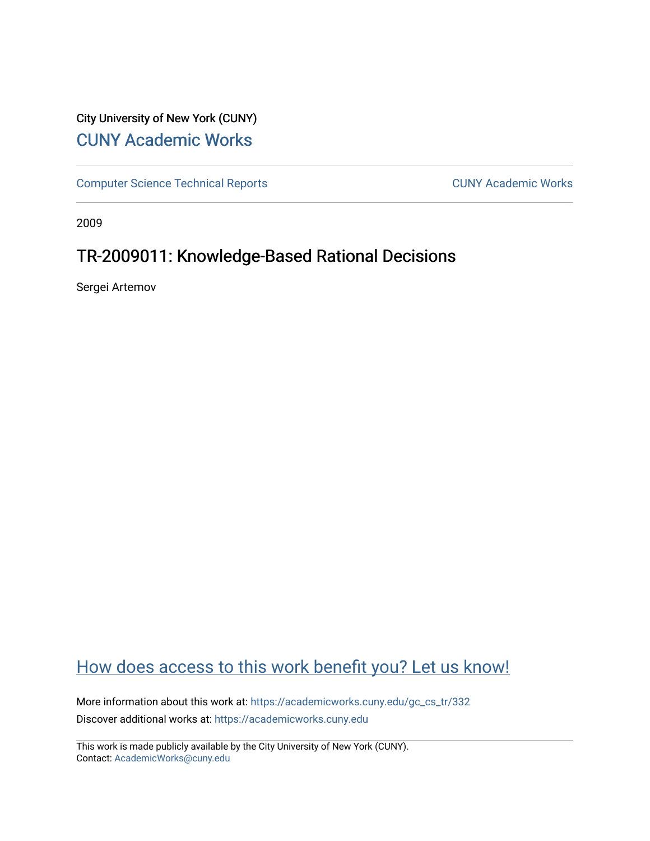## City University of New York (CUNY) [CUNY Academic Works](https://academicworks.cuny.edu/)

[Computer Science Technical Reports](https://academicworks.cuny.edu/gc_cs_tr) **CUNY Academic Works** CUNY Academic Works

2009

## TR-2009011: Knowledge-Based Rational Decisions

Sergei Artemov

# [How does access to this work benefit you? Let us know!](http://ols.cuny.edu/academicworks/?ref=https://academicworks.cuny.edu/gc_cs_tr/332)

More information about this work at: [https://academicworks.cuny.edu/gc\\_cs\\_tr/332](https://academicworks.cuny.edu/gc_cs_tr/332)  Discover additional works at: [https://academicworks.cuny.edu](https://academicworks.cuny.edu/?)

This work is made publicly available by the City University of New York (CUNY). Contact: [AcademicWorks@cuny.edu](mailto:AcademicWorks@cuny.edu)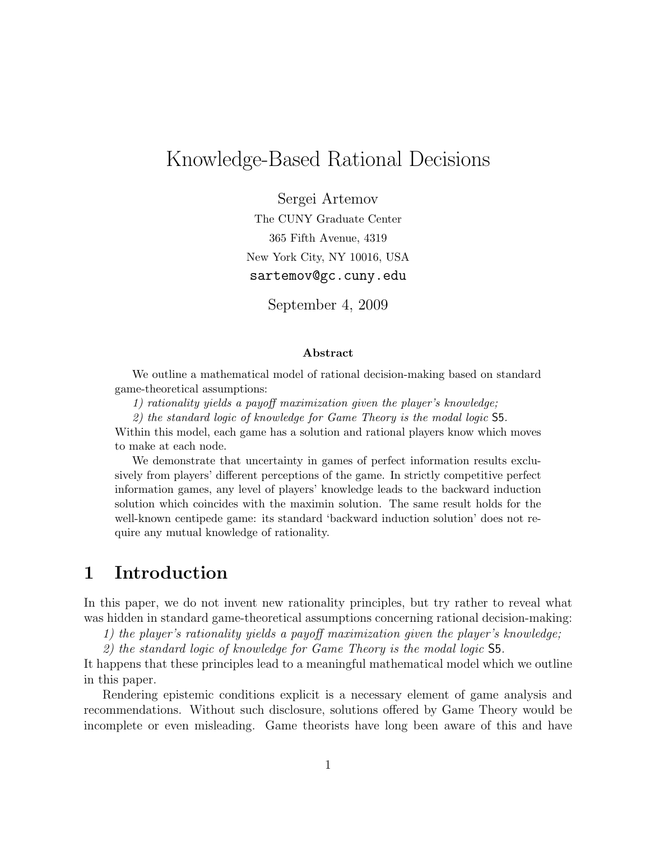# Knowledge-Based Rational Decisions

Sergei Artemov The CUNY Graduate Center 365 Fifth Avenue, 4319 New York City, NY 10016, USA sartemov@gc.cuny.edu

September 4, 2009

#### Abstract

We outline a mathematical model of rational decision-making based on standard game-theoretical assumptions:

1) rationality yields a payoff maximization given the player's knowledge;

2) the standard logic of knowledge for Game Theory is the modal logic S5.

Within this model, each game has a solution and rational players know which moves to make at each node.

We demonstrate that uncertainty in games of perfect information results exclusively from players' different perceptions of the game. In strictly competitive perfect information games, any level of players' knowledge leads to the backward induction solution which coincides with the maximin solution. The same result holds for the well-known centipede game: its standard 'backward induction solution' does not require any mutual knowledge of rationality.

## 1 Introduction

In this paper, we do not invent new rationality principles, but try rather to reveal what was hidden in standard game-theoretical assumptions concerning rational decision-making:

1) the player's rationality yields a payoff maximization given the player's knowledge;

2) the standard logic of knowledge for Game Theory is the modal logic S5.

It happens that these principles lead to a meaningful mathematical model which we outline in this paper.

Rendering epistemic conditions explicit is a necessary element of game analysis and recommendations. Without such disclosure, solutions offered by Game Theory would be incomplete or even misleading. Game theorists have long been aware of this and have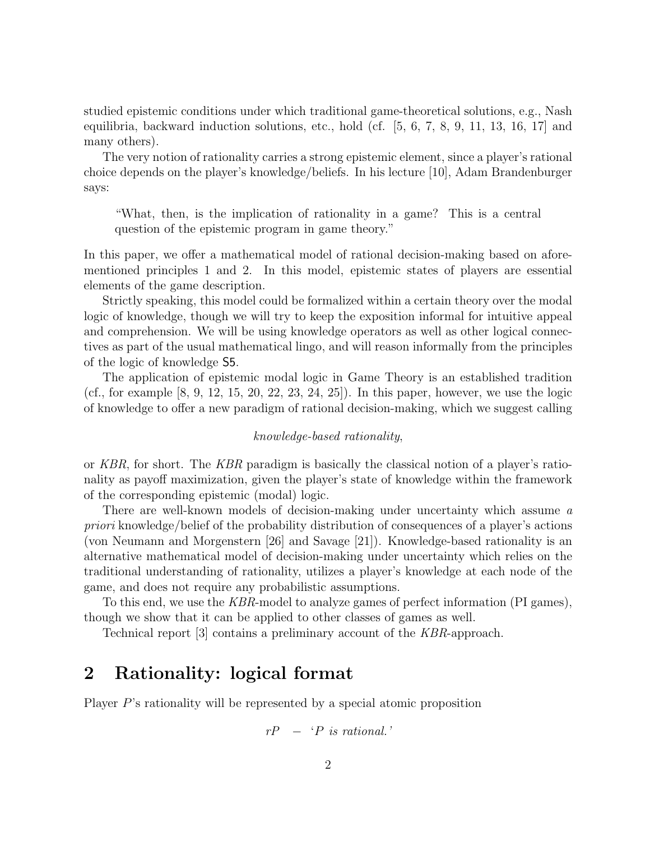studied epistemic conditions under which traditional game-theoretical solutions, e.g., Nash equilibria, backward induction solutions, etc., hold (cf. [5, 6, 7, 8, 9, 11, 13, 16, 17] and many others).

The very notion of rationality carries a strong epistemic element, since a player's rational choice depends on the player's knowledge/beliefs. In his lecture [10], Adam Brandenburger says:

"What, then, is the implication of rationality in a game? This is a central question of the epistemic program in game theory."

In this paper, we offer a mathematical model of rational decision-making based on aforementioned principles 1 and 2. In this model, epistemic states of players are essential elements of the game description.

Strictly speaking, this model could be formalized within a certain theory over the modal logic of knowledge, though we will try to keep the exposition informal for intuitive appeal and comprehension. We will be using knowledge operators as well as other logical connectives as part of the usual mathematical lingo, and will reason informally from the principles of the logic of knowledge S5.

The application of epistemic modal logic in Game Theory is an established tradition (cf., for example  $[8, 9, 12, 15, 20, 22, 23, 24, 25]$ ). In this paper, however, we use the logic of knowledge to offer a new paradigm of rational decision-making, which we suggest calling

#### knowledge-based rationality,

or KBR, for short. The KBR paradigm is basically the classical notion of a player's rationality as payoff maximization, given the player's state of knowledge within the framework of the corresponding epistemic (modal) logic.

There are well-known models of decision-making under uncertainty which assume a priori knowledge/belief of the probability distribution of consequences of a player's actions (von Neumann and Morgenstern [26] and Savage [21]). Knowledge-based rationality is an alternative mathematical model of decision-making under uncertainty which relies on the traditional understanding of rationality, utilizes a player's knowledge at each node of the game, and does not require any probabilistic assumptions.

To this end, we use the KBR-model to analyze games of perfect information (PI games), though we show that it can be applied to other classes of games as well.

Technical report [3] contains a preliminary account of the KBR-approach.

### 2 Rationality: logical format

Player P's rationality will be represented by a special atomic proposition

$$
rP - P \text{ is rational.}
$$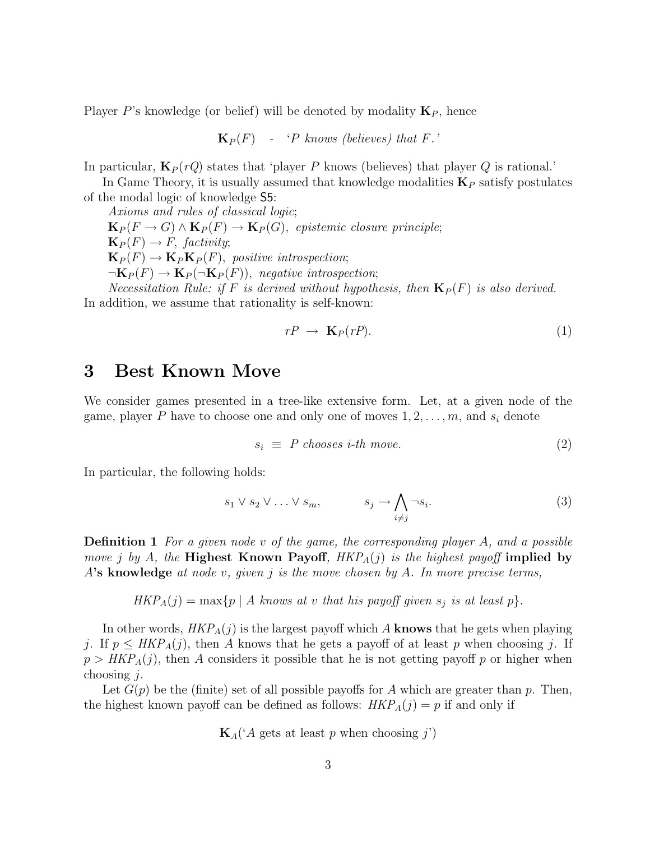Player P's knowledge (or belief) will be denoted by modality  $\mathbf{K}_P$ , hence

 $\mathbf{K}_P(F)$  - 'P knows (believes) that F.'

In particular,  $\mathbf{K}_P(rQ)$  states that 'player P knows (believes) that player Q is rational.'

In Game Theory, it is usually assumed that knowledge modalities  $K_P$  satisfy postulates of the modal logic of knowledge S5:

Axioms and rules of classical logic;  $\mathbf{K}_P(F \to G) \wedge \mathbf{K}_P(F) \to \mathbf{K}_P(G)$ , epistemic closure principle;  $\mathbf{K}_P(F) \to F$ , factivity;  $\mathbf{K}_P(F) \to \mathbf{K}_P \mathbf{K}_P(F)$ , positive introspection;  $\neg K_P(F) \rightarrow K_P(\neg K_P(F))$ , negative introspection; Necessitation Rule: if F is derived without hypothesis, then  $\mathbf{K}_P(F)$  is also derived.

In addition, we assume that rationality is self-known:

$$
rP \rightarrow \mathbf{K}_P(rP). \tag{1}
$$

### 3 Best Known Move

We consider games presented in a tree-like extensive form. Let, at a given node of the game, player P have to choose one and only one of moves  $1, 2, \ldots, m$ , and  $s_i$  denote

$$
s_i \equiv P \; chooses \; i\text{-}th \; move. \tag{2}
$$

In particular, the following holds:

$$
s_1 \vee s_2 \vee \ldots \vee s_m, \qquad s_j \to \bigwedge_{i \neq j} \neg s_i. \tag{3}
$$

**Definition 1** For a given node v of the game, the corresponding player  $A$ , and a possible move j by A, the Highest Known Payoff,  $HKP_A(j)$  is the highest payoff implied by A's knowledge at node v, given j is the move chosen by A. In more precise terms,

$$
HKP_A(j) = \max\{p \mid A \text{ knows at } v \text{ that his payoff given } s_j \text{ is at least } p\}.
$$

In other words,  $HKP_A(j)$  is the largest payoff which A knows that he gets when playing j. If  $p \leq HKP_A(j)$ , then A knows that he gets a payoff of at least p when choosing j. If  $p > HKP<sub>A</sub>(j)$ , then A considers it possible that he is not getting payoff p or higher when choosing  $i$ .

Let  $G(p)$  be the (finite) set of all possible payoffs for A which are greater than p. Then, the highest known payoff can be defined as follows:  $HKP_A(j) = p$  if and only if

 $\mathbf{K}_{A}$  ('A gets at least p when choosing j')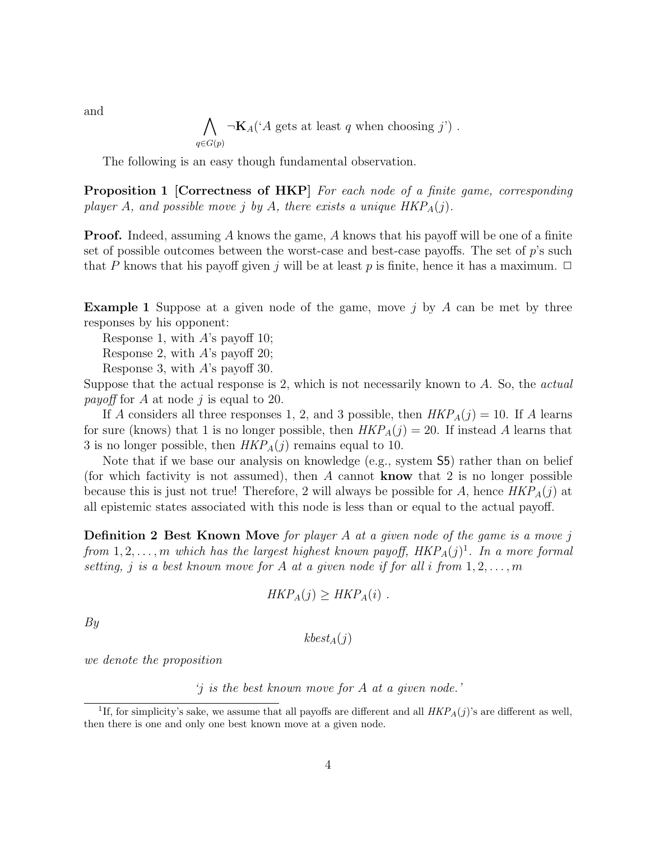$\bigwedge \neg \mathbf{K}_{A}(A \text{ gets at least } q \text{ when choosing } j')$ .  $q \in G(p)$ 

The following is an easy though fundamental observation.

Proposition 1 [Correctness of HKP] For each node of a finite game, corresponding player A, and possible move j by A, there exists a unique  $HKP_A(j)$ .

**Proof.** Indeed, assuming A knows the game, A knows that his payoff will be one of a finite set of possible outcomes between the worst-case and best-case payoffs. The set of  $p$ 's such that P knows that his payoff given j will be at least p is finite, hence it has a maximum.  $\Box$ 

**Example 1** Suppose at a given node of the game, move j by A can be met by three responses by his opponent:

Response 1, with  $A$ 's payoff 10;

Response 2, with  $A$ 's payoff 20;

Response 3, with A's payoff 30.

Suppose that the actual response is 2, which is not necessarily known to A. So, the actual *payoff* for A at node j is equal to 20.

If A considers all three responses 1, 2, and 3 possible, then  $HKP_A(j) = 10$ . If A learns for sure (knows) that 1 is no longer possible, then  $HKP_A(j) = 20$ . If instead A learns that 3 is no longer possible, then  $HKP_A(j)$  remains equal to 10.

Note that if we base our analysis on knowledge (e.g., system S5) rather than on belief (for which factivity is not assumed), then A cannot **know** that 2 is no longer possible because this is just not true! Therefore, 2 will always be possible for A, hence  $HKP_A(j)$  at all epistemic states associated with this node is less than or equal to the actual payoff.

Definition 2 Best Known Move for player A at a given node of the game is a move j from  $1, 2, \ldots, m$  which has the largest highest known payoff,  $HKP_A(j)^1$ . In a more formal setting, j is a best known move for A at a given node if for all i from  $1, 2, \ldots, m$ 

$$
HKP_A(j) \geq HKP_A(i) \ .
$$

By

 $kbest_A(i)$ 

we denote the proposition

'j is the best known move for A at a given node.'

and

<sup>&</sup>lt;sup>1</sup>If, for simplicity's sake, we assume that all payoffs are different and all  $HKP<sub>A</sub>(j)$ 's are different as well, then there is one and only one best known move at a given node.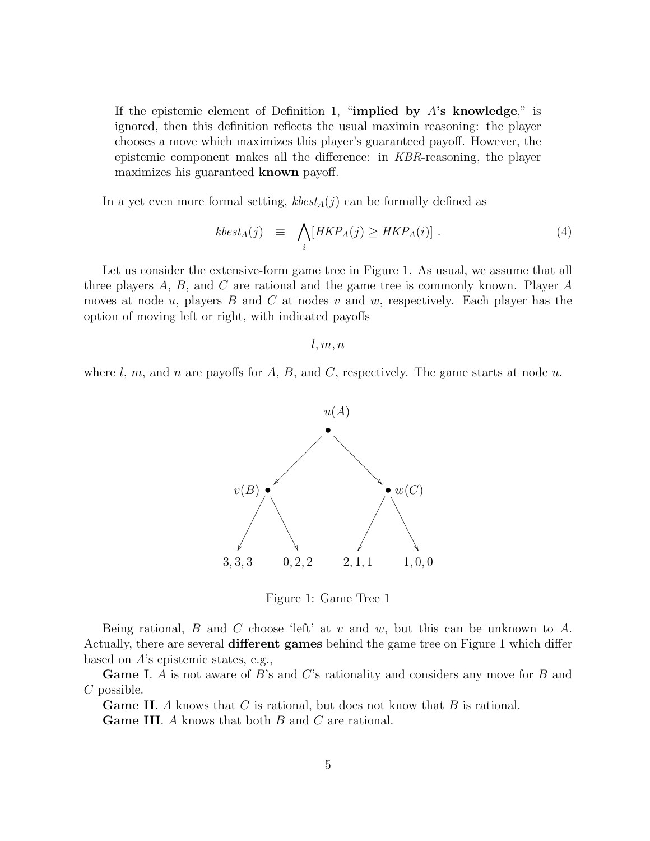If the epistemic element of Definition 1, "implied by  $A$ 's knowledge," is ignored, then this definition reflects the usual maximin reasoning: the player chooses a move which maximizes this player's guaranteed payoff. However, the epistemic component makes all the difference: in KBR-reasoning, the player maximizes his guaranteed known payoff.

In a yet even more formal setting,  $\mathit{kbest}_A(j)$  can be formally defined as

$$
kbest_A(j) \equiv \bigwedge_i [HKP_A(j) \ge HKP_A(i)] \ . \tag{4}
$$

Let us consider the extensive-form game tree in Figure 1. As usual, we assume that all three players  $A, B$ , and  $C$  are rational and the game tree is commonly known. Player  $A$ moves at node u, players B and C at nodes v and w, respectively. Each player has the option of moving left or right, with indicated payoffs

 $l, m, n$ 

where  $l, m$ , and n are payoffs for  $A, B$ , and  $C$ , respectively. The game starts at node  $u$ .



Figure 1: Game Tree 1

Being rational, B and C choose 'left' at v and w, but this can be unknown to A. Actually, there are several **different games** behind the game tree on Figure 1 which differ based on A's epistemic states, e.g.,

**Game I.** A is not aware of B's and C's rationality and considers any move for B and C possible.

**Game II.** A knows that C is rational, but does not know that B is rational. Game III. A knows that both B and C are rational.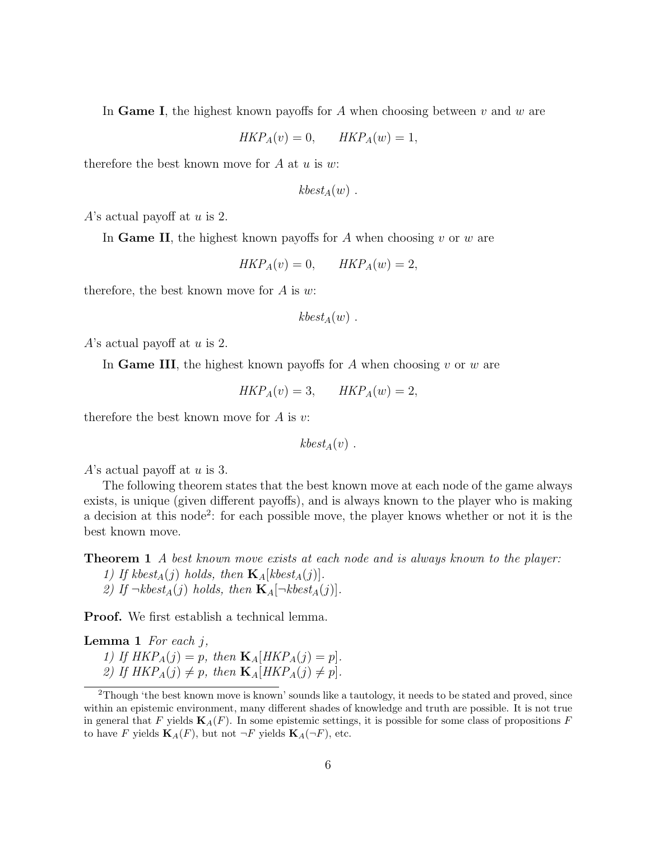In Game I, the highest known payoffs for A when choosing between  $v$  and  $w$  are

$$
HKP_A(v) = 0, \qquad HKP_A(w) = 1,
$$

therefore the best known move for  $A$  at  $u$  is  $w$ :

$$
kbest_A(w) .
$$

A's actual payoff at  $u$  is 2.

In Game II, the highest known payoffs for A when choosing  $v$  or  $w$  are

$$
HKP_A(v) = 0, \qquad HKP_A(w) = 2,
$$

therefore, the best known move for  $A$  is  $w$ :

 $kbest_A(w)$ .

A's actual payoff at  $u$  is 2.

In Game III, the highest known payoffs for A when choosing  $v$  or  $w$  are

$$
HKP_A(v) = 3, \qquad HKP_A(w) = 2,
$$

therefore the best known move for  $A$  is  $v$ :

 $kbest_A(v)$ .

A's actual payoff at  $u$  is 3.

The following theorem states that the best known move at each node of the game always exists, is unique (given different payoffs), and is always known to the player who is making a decision at this node<sup>2</sup>: for each possible move, the player knows whether or not it is the best known move.

Theorem 1 A best known move exists at each node and is always known to the player:

1) If kbest<sub>A</sub>(j) holds, then  $\mathbf{K}_{A}[kbest_{A}(j)].$ 2) If  $\neg kbest_A(j)$  holds, then  $\mathbf{K}_A[\neg kbest_A(j)]$ .

Proof. We first establish a technical lemma.

**Lemma 1** For each  $j$ , 1) If  $HKP_A(j) = p$ , then  $\mathbf{K}_A[HKP_A(j) = p]$ . 2) If  $HKP_A(j) \neq p$ , then  $\mathbf{K}_A[HKP_A(j) \neq p]$ .

<sup>2</sup>Though 'the best known move is known' sounds like a tautology, it needs to be stated and proved, since within an epistemic environment, many different shades of knowledge and truth are possible. It is not true in general that F yields  $\mathbf{K}_A(F)$ . In some epistemic settings, it is possible for some class of propositions F to have F yields  $\mathbf{K}_A(F)$ , but not  $\neg F$  yields  $\mathbf{K}_A(\neg F)$ , etc.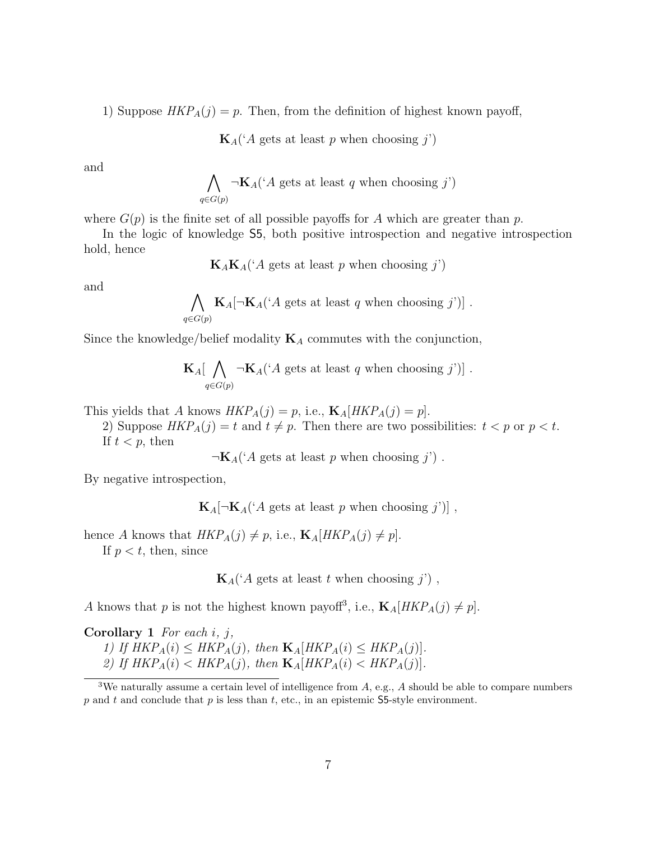1) Suppose  $HKP_A(j) = p$ . Then, from the definition of highest known payoff,

 $\mathbf{K}_{A}$  ('A gets at least p when choosing j')

and

$$
\bigwedge_{q \in G(p)} \neg \mathbf{K}_A(`A \text{ gets at least } q \text{ when choosing } j')
$$

where  $G(p)$  is the finite set of all possible payoffs for A which are greater than p.

In the logic of knowledge S5, both positive introspection and negative introspection hold, hence

 $\mathbf{K}_A \mathbf{K}_A({}^{\iota}A \text{ gets at least } p \text{ when choosing } j'$ 

and

$$
\bigwedge_{q \in G(p)} \mathbf{K}_A[\neg \mathbf{K}_A(\text{A gets at least } q \text{ when choosing } j)] .
$$

Since the knowledge/belief modality  $K_A$  commutes with the conjunction,

$$
\mathbf{K}_{A}[\bigwedge_{q\in G(p)} \neg \mathbf{K}_{A}({}^{\iota}A \text{ gets at least } q \text{ when choosing } j)] .
$$

This yields that A knows  $HKP_A(j) = p$ , i.e.,  $\mathbf{K}_A[HKP_A(j) = p]$ .

2) Suppose  $HKP_A(j) = t$  and  $t \neq p$ . Then there are two possibilities:  $t < p$  or  $p < t$ . If  $t < p$ , then

 $\neg K_A('A gets at least p when choosing j')$ .

By negative introspection,

 $\mathbf{K}_A[\neg \mathbf{K}_A('A \text{ gets at least } p \text{ when choosing } j')]$ ,

hence A knows that  $HKP_A(j) \neq p$ , i.e.,  $\mathbf{K}_A[HKP_A(j) \neq p]$ . If  $p < t$ , then, since

 $\mathbf{K}_{A}(A \text{ gets at least } t \text{ when choosing } j)$ ,

A knows that p is not the highest known payoff<sup>3</sup>, i.e.,  $\mathbf{K}_{A}[HKP_{A}(j) \neq p]$ .

**Corollary 1** For each  $i$ ,  $j$ ,

1) If  $HKP_A(i) \leq HKP_A(j)$ , then  $\mathbf{K}_A[HKP_A(i) \leq HKP_A(j)]$ .

2) If  $HKP_A(i) < HKP_A(j)$ , then  $\mathbf{K}_A[HKP_A(i) < HKP_A(j)]$ .

<sup>&</sup>lt;sup>3</sup>We naturally assume a certain level of intelligence from  $A$ , e.g.,  $A$  should be able to compare numbers p and t and conclude that p is less than t, etc., in an epistemic S5-style environment.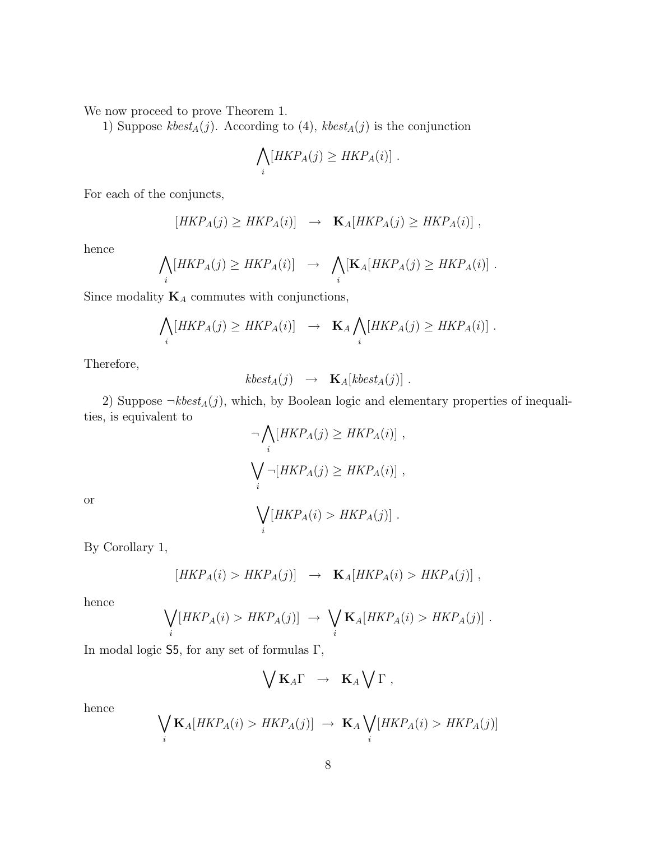We now proceed to prove Theorem 1.

1) Suppose  $kbest_A(j)$ . According to (4),  $kbest_A(j)$  is the conjunction

$$
\bigwedge_i [HKP_A(j) \ge HKP_A(i)] \ .
$$

For each of the conjuncts,

$$
[HKP_A(j) \ge HKP_A(i)] \rightarrow \mathbf{K}_A[HKP_A(j) \ge HKP_A(i)],
$$

hence

$$
\bigwedge_i [HKP_A(j) \ge HKP_A(i)] \rightarrow \bigwedge_i [\mathbf{K}_A [HKP_A(j) \ge HKP_A(i)] .
$$

Since modality  $\mathbf{K}_A$  commutes with conjunctions,

$$
\bigwedge_i [HKP_A(j) \ge HKP_A(i)] \rightarrow \mathbf{K}_A \bigwedge_i [HKP_A(j) \ge HKP_A(i)] .
$$

Therefore,

$$
kbest_A(j) \rightarrow \mathbf{K}_A[kbest_A(j)].
$$

2) Suppose  $\neg kbest_A(j)$ , which, by Boolean logic and elementary properties of inequalities, is equivalent to

$$
\neg \bigwedge_i [HKP_A(j) \ge HKP_A(i)],
$$
  

$$
\bigvee_i \neg [HKP_A(j) \ge HKP_A(i)],
$$

or

$$
\bigvee_i [HKP_A(i) > HKP_A(j)] .
$$

By Corollary 1,

$$
[HKP_A(i) > HKP_A(j)] \rightarrow \mathbf{K}_A[HKP_A(i) > HKP_A(j)],
$$

hence

$$
\bigvee_i [HKP_A(i) > HKP_A(j)] \rightarrow \bigvee_i \mathbf{K}_A [HKP_A(i) > HKP_A(j)].
$$

In modal logic S5, for any set of formulas Γ,

$$
\bigvee \mathbf{K}_A \Gamma \rightarrow \mathbf{K}_A \bigvee \Gamma ,
$$

hence

$$
\bigvee_i \mathbf{K}_A[HKP_A(i) > HKP_A(j)] \rightarrow \mathbf{K}_A \bigvee_i [HKP_A(i) > HKP_A(j)]
$$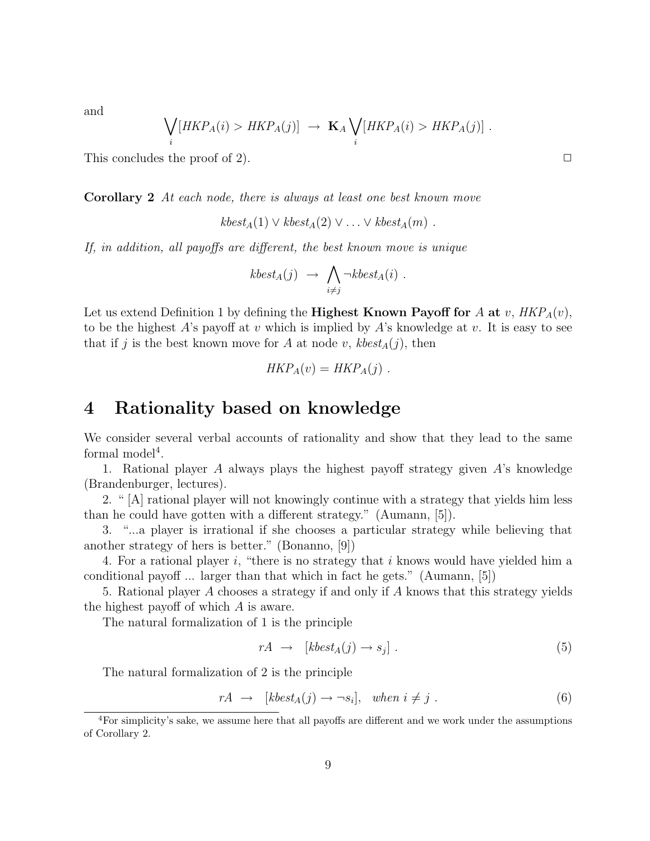and

$$
\bigvee_i [HKP_A(i) > HKP_A(j)] \rightarrow \mathbf{K}_A \bigvee_i [HKP_A(i) > HKP_A(j)].
$$

This concludes the proof of 2).  $\Box$ 

Corollary 2 At each node, there is always at least one best known move

 $kbest_A(1) \vee kbest_A(2) \vee \ldots \vee kbest_A(m)$ .

If, in addition, all payoffs are different, the best known move is unique

$$
kbest_A(j) \rightarrow \bigwedge_{i \neq j} \neg kbest_A(i) .
$$

Let us extend Definition 1 by defining the **Highest Known Payoff for** A at v,  $HKP_A(v)$ , to be the highest A's payoff at v which is implied by A's knowledge at v. It is easy to see that if j is the best known move for A at node v,  $kbest_A(j)$ , then

$$
HKP_A(v) = HKP_A(j) .
$$

### 4 Rationality based on knowledge

We consider several verbal accounts of rationality and show that they lead to the same formal model<sup>4</sup>.

1. Rational player A always plays the highest payoff strategy given A's knowledge (Brandenburger, lectures).

2. " [A] rational player will not knowingly continue with a strategy that yields him less than he could have gotten with a different strategy." (Aumann, [5]).

3. "...a player is irrational if she chooses a particular strategy while believing that another strategy of hers is better." (Bonanno, [9])

4. For a rational player i, "there is no strategy that i knows would have yielded him a conditional payoff ... larger than that which in fact he gets." (Aumann, [5])

5. Rational player A chooses a strategy if and only if A knows that this strategy yields the highest payoff of which A is aware.

The natural formalization of 1 is the principle

$$
rA \rightarrow [kbest_A(j) \rightarrow s_j]. \tag{5}
$$

The natural formalization of 2 is the principle

$$
rA \rightarrow [kbest_A(j) \rightarrow \neg s_i], \quad when \ i \neq j. \tag{6}
$$

<sup>4</sup>For simplicity's sake, we assume here that all payoffs are different and we work under the assumptions of Corollary 2.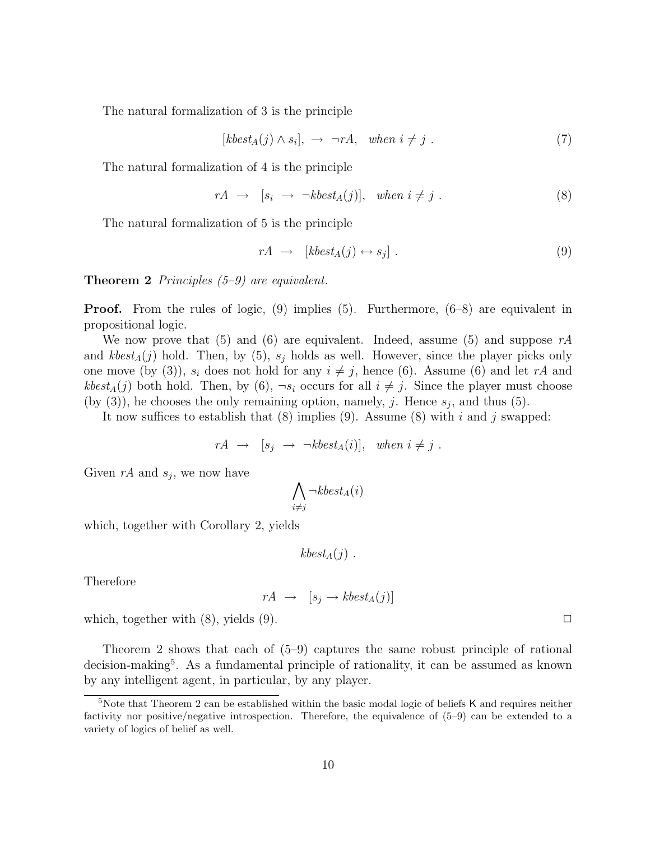The natural formalization of 3 is the principle

$$
[kbest_A(j) \land s_i], \rightarrow \neg rA, \quad when \ i \neq j. \tag{7}
$$

The natural formalization of 4 is the principle

$$
rA \rightarrow [s_i \rightarrow \neg kbest_A(j)], \quad when \ i \neq j. \tag{8}
$$

The natural formalization of 5 is the principle

$$
rA \rightarrow [kbest_A(j) \leftrightarrow s_j]. \tag{9}
$$

**Theorem 2** Principles  $(5-9)$  are equivalent.

Proof. From the rules of logic, (9) implies (5). Furthermore, (6–8) are equivalent in propositional logic.

We now prove that (5) and (6) are equivalent. Indeed, assume (5) and suppose  $rA$ and  $kbest_A(j)$  hold. Then, by (5),  $s_j$  holds as well. However, since the player picks only one move (by (3)),  $s_i$  does not hold for any  $i \neq j$ , hence (6). Assume (6) and let rA and kbest<sub>A</sub>(j) both hold. Then, by (6),  $\neg s_i$  occurs for all  $i \neq j$ . Since the player must choose (by (3)), he chooses the only remaining option, namely, j. Hence  $s_j$ , and thus (5).

It now suffices to establish that  $(8)$  implies  $(9)$ . Assume  $(8)$  with i and j swapped:

$$
rA \rightarrow [s_j \rightarrow \neg kbest_A(i)], when i \neq j.
$$

Given  $rA$  and  $s_j$ , we now have

$$
\bigwedge_{i\neq j}\neg kbest_A(i)
$$

which, together with Corollary 2, yields

 $kbest_A(j)$ .

Therefore

$$
rA \rightarrow [s_j \rightarrow kbest_A(j)]
$$

which, together with  $(8)$ , yields  $(9)$ .

Theorem 2 shows that each of (5–9) captures the same robust principle of rational decision-making<sup>5</sup>. As a fundamental principle of rationality, it can be assumed as known by any intelligent agent, in particular, by any player.

<sup>&</sup>lt;sup>5</sup>Note that Theorem 2 can be established within the basic modal logic of beliefs K and requires neither factivity nor positive/negative introspection. Therefore, the equivalence of (5–9) can be extended to a variety of logics of belief as well.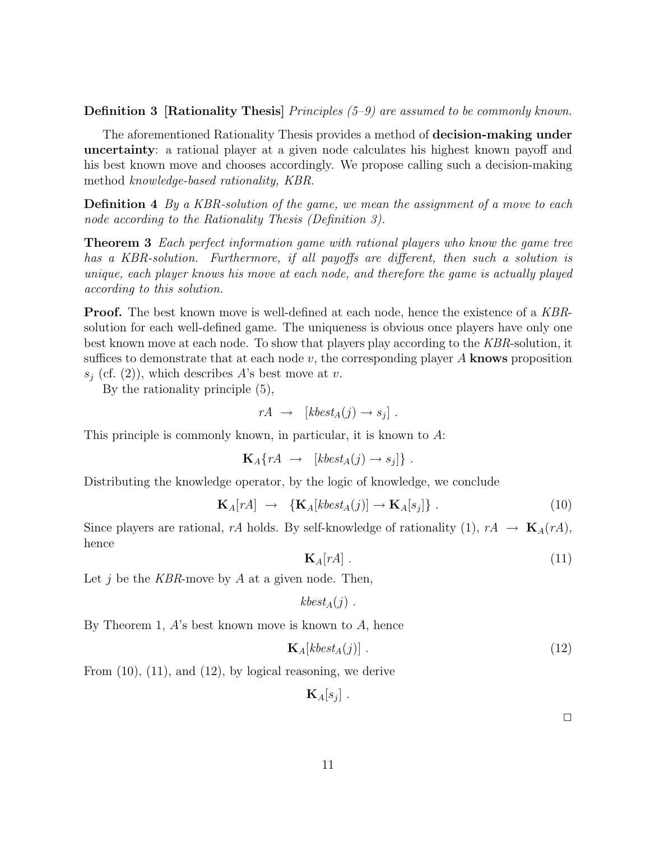Definition 3 [Rationality Thesis] Principles (5-9) are assumed to be commonly known.

The aforementioned Rationality Thesis provides a method of decision-making under uncertainty: a rational player at a given node calculates his highest known payoff and his best known move and chooses accordingly. We propose calling such a decision-making method knowledge-based rationality, KBR.

Definition 4 By a KBR-solution of the game, we mean the assignment of a move to each node according to the Rationality Thesis (Definition 3).

**Theorem 3** Each perfect information game with rational players who know the game tree has a KBR-solution. Furthermore, if all payoffs are different, then such a solution is unique, each player knows his move at each node, and therefore the game is actually played according to this solution.

**Proof.** The best known move is well-defined at each node, hence the existence of a KBRsolution for each well-defined game. The uniqueness is obvious once players have only one best known move at each node. To show that players play according to the KBR-solution, it suffices to demonstrate that at each node  $v$ , the corresponding player A knows proposition  $s_i$  (cf. (2)), which describes A's best move at v.

By the rationality principle (5),

$$
rA \rightarrow [kbest_A(j) \rightarrow s_j].
$$

This principle is commonly known, in particular, it is known to A:

$$
\mathbf{K}_A\{rA \rightarrow [kbest_A(j) \rightarrow s_j]\}.
$$

Distributing the knowledge operator, by the logic of knowledge, we conclude

$$
\mathbf{K}_{A}[rA] \rightarrow \{\mathbf{K}_{A}[kbest_{A}(j)] \rightarrow \mathbf{K}_{A}[s_{j}]\}.
$$
 (10)

Since players are rational, rA holds. By self-knowledge of rationality (1),  $rA \rightarrow \mathbf{K}_A(rA)$ , hence

$$
\mathbf{K}_A[rA] \tag{11}
$$

Let j be the KBR-move by A at a given node. Then,

$$
kbest_A(j) .
$$

By Theorem 1,  $A$ 's best known move is known to  $A$ , hence

$$
\mathbf{K}_{A}[kbest_{A}(j)] . \tag{12}
$$

From (10), (11), and (12), by logical reasoning, we derive

$$
\mathbf{K}_A[s_j]\;.
$$

 $\Box$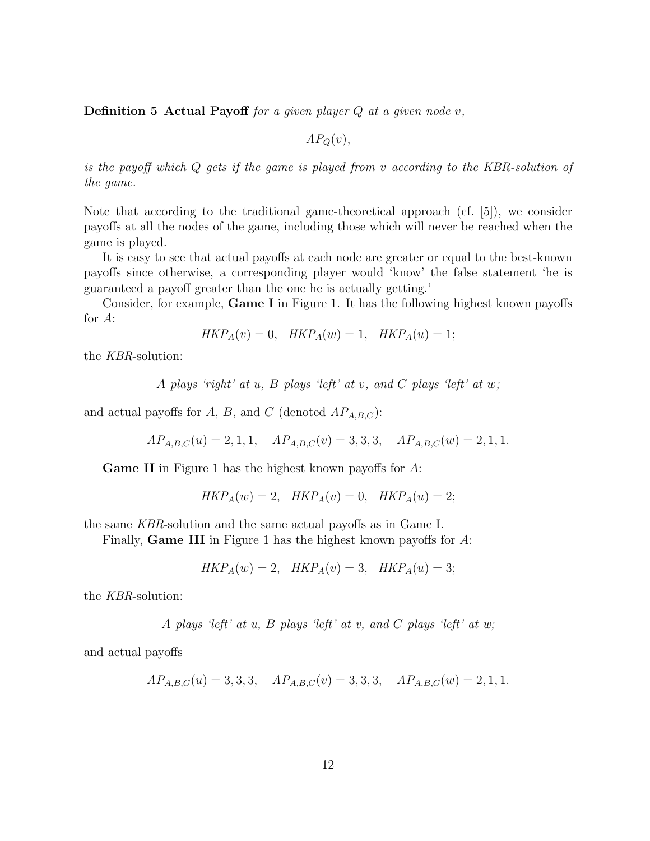**Definition 5 Actual Payoff** for a given player  $Q$  at a given node  $v$ ,

 $AP<sub>Q</sub>(v)$ ,

is the payoff which Q gets if the game is played from v according to the KBR-solution of the game.

Note that according to the traditional game-theoretical approach (cf. [5]), we consider payoffs at all the nodes of the game, including those which will never be reached when the game is played.

It is easy to see that actual payoffs at each node are greater or equal to the best-known payoffs since otherwise, a corresponding player would 'know' the false statement 'he is guaranteed a payoff greater than the one he is actually getting.'

Consider, for example, Game I in Figure 1. It has the following highest known payoffs for A:

$$
HKP_A(v) = 0, \quad HKP_A(w) = 1, \quad HKP_A(u) = 1;
$$

the KBR-solution:

A plays 'right' at  $u$ ,  $B$  plays 'left' at  $v$ , and  $C$  plays 'left' at  $w$ ;

and actual payoffs for A, B, and C (denoted  $AP_{A,B,C}$ ):

$$
AP_{A,B,C}(u) = 2, 1, 1, AP_{A,B,C}(v) = 3, 3, 3, AP_{A,B,C}(w) = 2, 1, 1.
$$

Game II in Figure 1 has the highest known payoffs for A:

$$
HKP_A(w) = 2, \quad HKP_A(v) = 0, \quad HKP_A(u) = 2;
$$

the same KBR-solution and the same actual payoffs as in Game I.

Finally, Game III in Figure 1 has the highest known payoffs for A:

$$
HKP_A(w) = 2, \quad HKP_A(v) = 3, \quad HKP_A(u) = 3;
$$

the KBR-solution:

A plays 'left' at  $u$ ,  $B$  plays 'left' at  $v$ , and  $C$  plays 'left' at  $w$ ;

and actual payoffs

$$
AP_{A,B,C}(u) = 3,3,3
$$
,  $AP_{A,B,C}(v) = 3,3,3$ ,  $AP_{A,B,C}(w) = 2,1,1$ .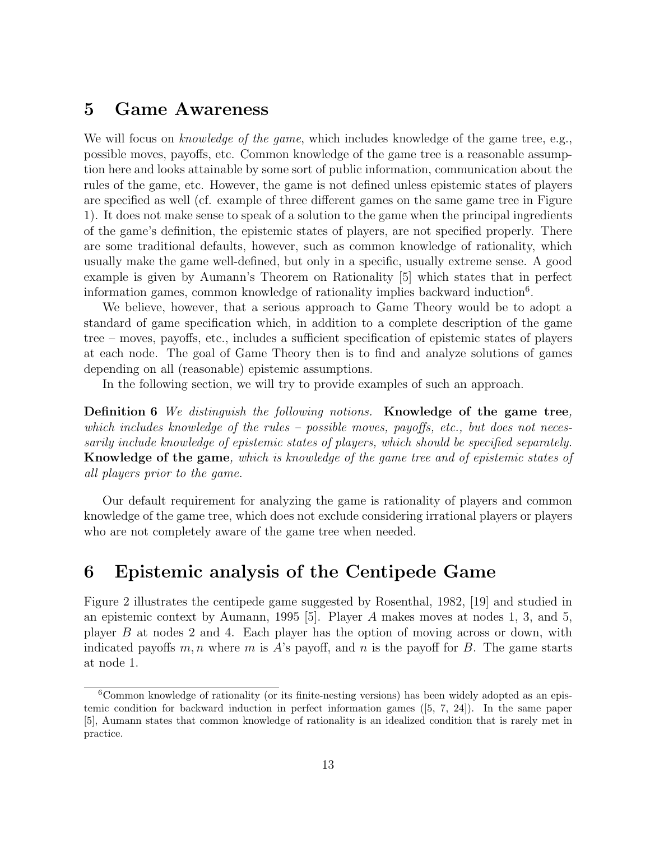## 5 Game Awareness

We will focus on *knowledge of the game*, which includes knowledge of the game tree, e.g., possible moves, payoffs, etc. Common knowledge of the game tree is a reasonable assumption here and looks attainable by some sort of public information, communication about the rules of the game, etc. However, the game is not defined unless epistemic states of players are specified as well (cf. example of three different games on the same game tree in Figure 1). It does not make sense to speak of a solution to the game when the principal ingredients of the game's definition, the epistemic states of players, are not specified properly. There are some traditional defaults, however, such as common knowledge of rationality, which usually make the game well-defined, but only in a specific, usually extreme sense. A good example is given by Aumann's Theorem on Rationality [5] which states that in perfect information games, common knowledge of rationality implies backward induction<sup>6</sup>.

We believe, however, that a serious approach to Game Theory would be to adopt a standard of game specification which, in addition to a complete description of the game tree – moves, payoffs, etc., includes a sufficient specification of epistemic states of players at each node. The goal of Game Theory then is to find and analyze solutions of games depending on all (reasonable) epistemic assumptions.

In the following section, we will try to provide examples of such an approach.

Definition 6 We distinguish the following notions. Knowledge of the game tree, which includes knowledge of the rules – possible moves, payoffs, etc., but does not necessarily include knowledge of epistemic states of players, which should be specified separately. Knowledge of the game, which is knowledge of the game tree and of epistemic states of all players prior to the game.

Our default requirement for analyzing the game is rationality of players and common knowledge of the game tree, which does not exclude considering irrational players or players who are not completely aware of the game tree when needed.

## 6 Epistemic analysis of the Centipede Game

Figure 2 illustrates the centipede game suggested by Rosenthal, 1982, [19] and studied in an epistemic context by Aumann, 1995 [5]. Player A makes moves at nodes 1, 3, and 5, player B at nodes 2 and 4. Each player has the option of moving across or down, with indicated payoffs  $m, n$  where m is A's payoff, and n is the payoff for B. The game starts at node 1.

<sup>6</sup>Common knowledge of rationality (or its finite-nesting versions) has been widely adopted as an epistemic condition for backward induction in perfect information games ([5, 7, 24]). In the same paper [5], Aumann states that common knowledge of rationality is an idealized condition that is rarely met in practice.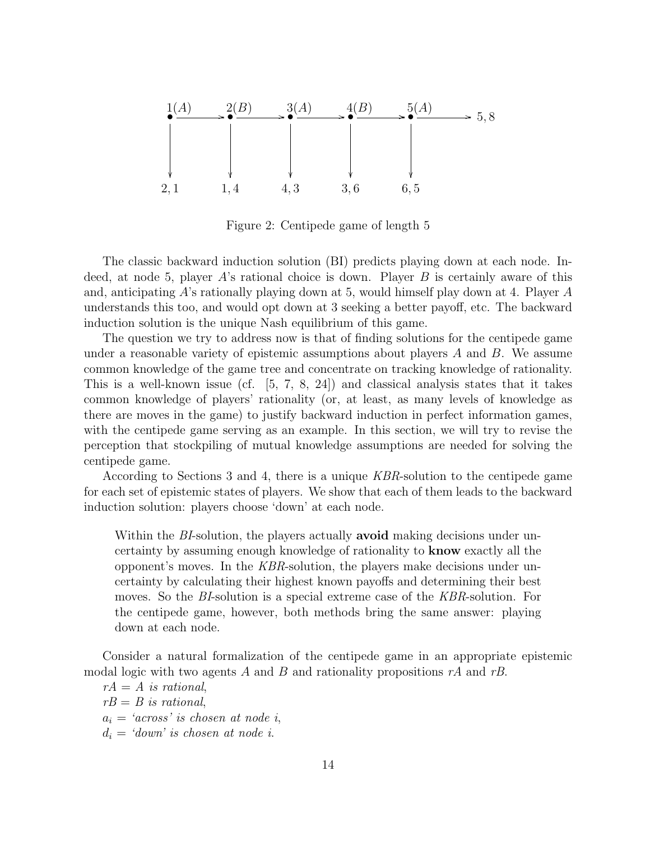

Figure 2: Centipede game of length 5

The classic backward induction solution (BI) predicts playing down at each node. Indeed, at node 5, player A's rational choice is down. Player B is certainly aware of this and, anticipating A's rationally playing down at 5, would himself play down at 4. Player A understands this too, and would opt down at 3 seeking a better payoff, etc. The backward induction solution is the unique Nash equilibrium of this game.

The question we try to address now is that of finding solutions for the centipede game under a reasonable variety of epistemic assumptions about players  $A$  and  $B$ . We assume common knowledge of the game tree and concentrate on tracking knowledge of rationality. This is a well-known issue (cf. [5, 7, 8, 24]) and classical analysis states that it takes common knowledge of players' rationality (or, at least, as many levels of knowledge as there are moves in the game) to justify backward induction in perfect information games, with the centipede game serving as an example. In this section, we will try to revise the perception that stockpiling of mutual knowledge assumptions are needed for solving the centipede game.

According to Sections 3 and 4, there is a unique KBR-solution to the centipede game for each set of epistemic states of players. We show that each of them leads to the backward induction solution: players choose 'down' at each node.

Within the *BI*-solution, the players actually **avoid** making decisions under uncertainty by assuming enough knowledge of rationality to know exactly all the opponent's moves. In the KBR-solution, the players make decisions under uncertainty by calculating their highest known payoffs and determining their best moves. So the BI-solution is a special extreme case of the KBR-solution. For the centipede game, however, both methods bring the same answer: playing down at each node.

Consider a natural formalization of the centipede game in an appropriate epistemic modal logic with two agents A and B and rationality propositions  $rA$  and  $rB$ .

 $rA = A$  is rational,  $rB = B$  is rational,  $a_i = 'across'$  is chosen at node i,  $d_i = 'down'$  is chosen at node i.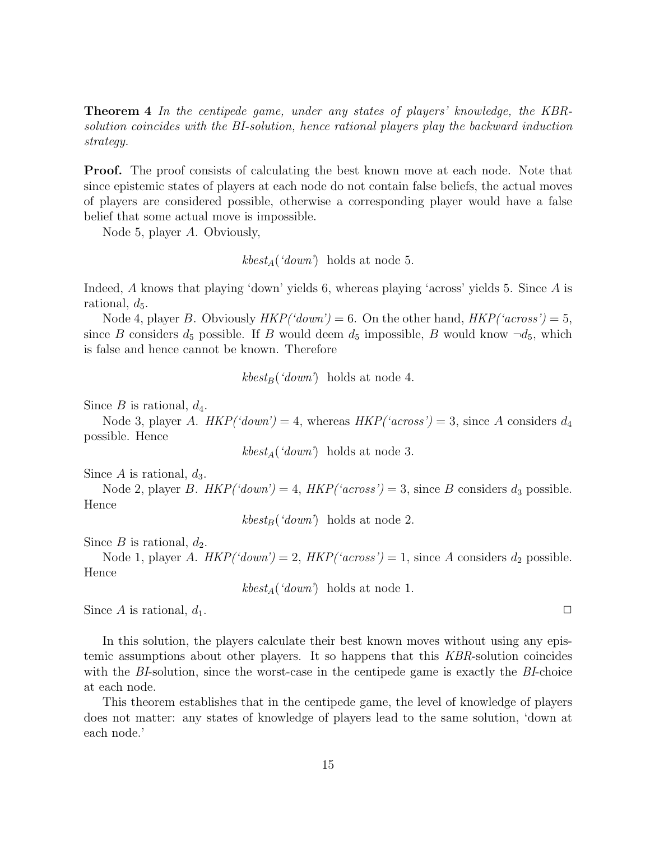Theorem 4 In the centipede game, under any states of players' knowledge, the KBRsolution coincides with the BI-solution, hence rational players play the backward induction strategy.

Proof. The proof consists of calculating the best known move at each node. Note that since epistemic states of players at each node do not contain false beliefs, the actual moves of players are considered possible, otherwise a corresponding player would have a false belief that some actual move is impossible.

Node 5, player A. Obviously,

 $kbest_A('down')$  holds at node 5.

Indeed, A knows that playing 'down' yields 6, whereas playing 'across' yields 5. Since A is rational,  $d_5$ .

Node 4, player B. Obviously  $HKP('down') = 6$ . On the other hand,  $HKP('across') = 5$ , since B considers  $d_5$  possible. If B would deem  $d_5$  impossible, B would know  $\neg d_5$ , which is false and hence cannot be known. Therefore

 $kbest_B('down')$  holds at node 4.

Since B is rational,  $d_4$ .

Node 3, player A.  $HKP('down') = 4$ , whereas  $HKP('across') = 3$ , since A considers  $d_4$ possible. Hence

 $kbest_A('down')$  holds at node 3.

Since A is rational,  $d_3$ .

Node 2, player B.  $HKP('down') = 4$ ,  $HKP('across') = 3$ , since B considers  $d_3$  possible. Hence

 $kbest_B('down')$  holds at node 2.

Since  $B$  is rational,  $d_2$ .

Node 1, player A.  $HKP('down') = 2$ ,  $HKP('across') = 1$ , since A considers  $d_2$  possible. Hence

 $kbest_A('down')$  holds at node 1.

Since A is rational,  $d_1$ .

In this solution, the players calculate their best known moves without using any epistemic assumptions about other players. It so happens that this KBR-solution coincides with the BI-solution, since the worst-case in the centipede game is exactly the BI-choice at each node.

This theorem establishes that in the centipede game, the level of knowledge of players does not matter: any states of knowledge of players lead to the same solution, 'down at each node.'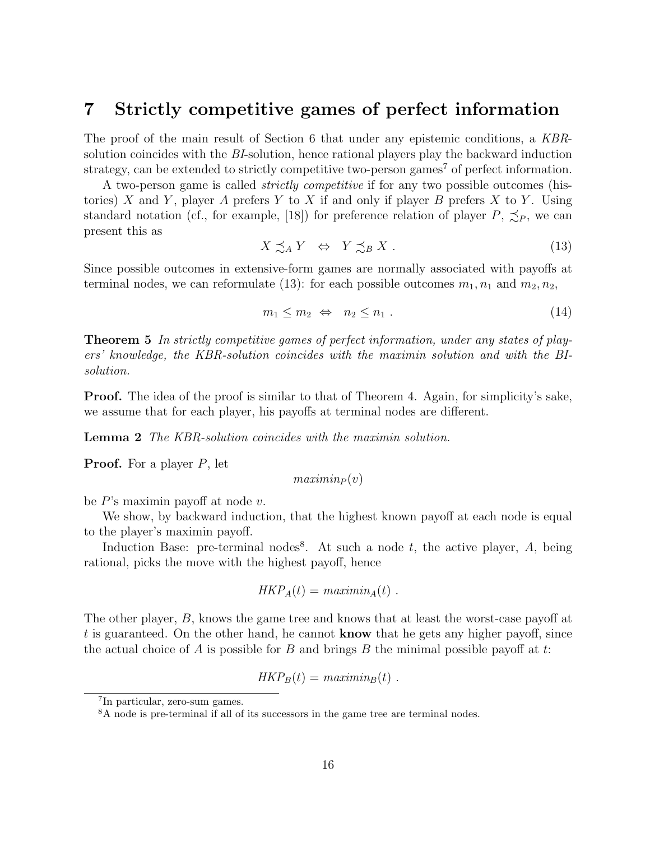### 7 Strictly competitive games of perfect information

The proof of the main result of Section 6 that under any epistemic conditions, a KBRsolution coincides with the BI-solution, hence rational players play the backward induction strategy, can be extended to strictly competitive two-person games<sup>7</sup> of perfect information.

A two-person game is called strictly competitive if for any two possible outcomes (histories) X and Y, player A prefers Y to X if and only if player B prefers X to Y. Using standard notation (cf., for example, [18]) for preference relation of player  $P, \preceq_P$ , we can present this as

$$
X \precsim_A Y \quad \Leftrightarrow \quad Y \precsim_B X \; . \tag{13}
$$

Since possible outcomes in extensive-form games are normally associated with payoffs at terminal nodes, we can reformulate (13): for each possible outcomes  $m_1, n_1$  and  $m_2, n_2$ ,

$$
m_1 \le m_2 \Leftrightarrow n_2 \le n_1. \tag{14}
$$

Theorem 5 In strictly competitive games of perfect information, under any states of players' knowledge, the KBR-solution coincides with the maximin solution and with the BIsolution.

Proof. The idea of the proof is similar to that of Theorem 4. Again, for simplicity's sake, we assume that for each player, his payoffs at terminal nodes are different.

Lemma 2 The KBR-solution coincides with the maximin solution.

**Proof.** For a player  $P$ , let

 $maximin_P (v)$ 

be  $P$ 's maximin payoff at node  $v$ .

We show, by backward induction, that the highest known payoff at each node is equal to the player's maximin payoff.

Induction Base: pre-terminal nodes<sup>8</sup>. At such a node  $t$ , the active player,  $A$ , being rational, picks the move with the highest payoff, hence

$$
HKP_A(t) = \text{maximin}_A(t) .
$$

The other player, B, knows the game tree and knows that at least the worst-case payoff at t is guaranteed. On the other hand, he cannot **know** that he gets any higher payoff, since the actual choice of A is possible for B and brings B the minimal possible payoff at t:

 $HKP_B(t) = \text{maximum}_{B}(t)$ .

<sup>7</sup> In particular, zero-sum games.

<sup>8</sup>A node is pre-terminal if all of its successors in the game tree are terminal nodes.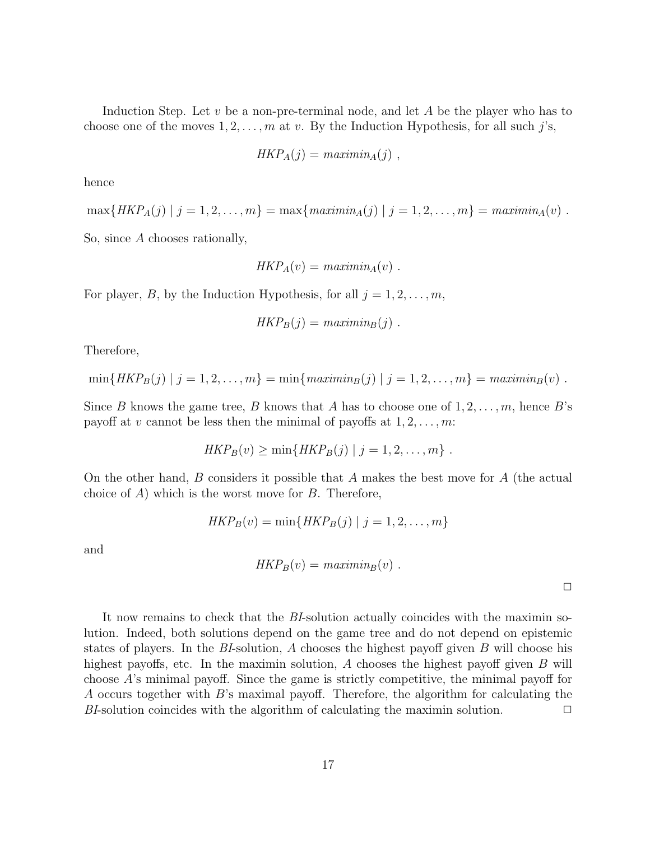Induction Step. Let v be a non-pre-terminal node, and let  $A$  be the player who has to choose one of the moves  $1, 2, \ldots, m$  at v. By the Induction Hypothesis, for all such j's,

$$
HKP_A(j) = \text{maximin}_A(j) ,
$$

hence

 $\max\{HKP_A(j) | j = 1, 2, \ldots, m\} = \max\{maximin_A(j) | j = 1, 2, \ldots, m\} = maximin_A(v)$ .

So, since A chooses rationally,

$$
HKP_A(v) = \text{maximin}_A(v) .
$$

For player, B, by the Induction Hypothesis, for all  $j = 1, 2, \ldots, m$ ,

$$
HKP_B(j) = \text{maximin}_B(j) .
$$

Therefore,

$$
\min\{HKP_B(j) | j = 1, 2, ..., m\} = \min\{maximin_B(j) | j = 1, 2, ..., m\} = \text{maximin_B}(v) .
$$

Since B knows the game tree, B knows that A has to choose one of  $1, 2, \ldots, m$ , hence B's payoff at v cannot be less then the minimal of payoffs at  $1, 2, \ldots, m$ :

$$
HKP_B(v) \geq \min\{HKP_B(j) | j = 1, 2, \ldots, m\}.
$$

On the other hand, B considers it possible that A makes the best move for A (the actual choice of  $A$ ) which is the worst move for  $B$ . Therefore,

$$
HKP_B(v) = \min\{HKP_B(j) | j = 1, 2, ..., m\}
$$

and

$$
HKP_B(v) = \text{maximin}_B(v) .
$$

 $\Box$ 

It now remains to check that the BI-solution actually coincides with the maximin solution. Indeed, both solutions depend on the game tree and do not depend on epistemic states of players. In the BI-solution, A chooses the highest payoff given  $B$  will choose his highest payoffs, etc. In the maximin solution, A chooses the highest payoff given  $B$  will choose A's minimal payoff. Since the game is strictly competitive, the minimal payoff for A occurs together with B's maximal payoff. Therefore, the algorithm for calculating the BI-solution coincides with the algorithm of calculating the maximin solution.  $\Box$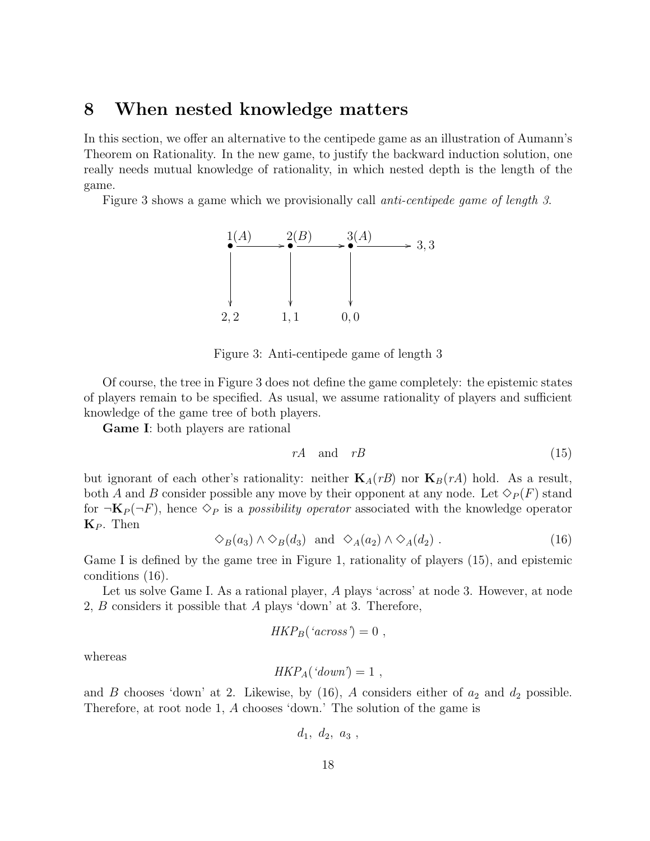## 8 When nested knowledge matters

In this section, we offer an alternative to the centipede game as an illustration of Aumann's Theorem on Rationality. In the new game, to justify the backward induction solution, one really needs mutual knowledge of rationality, in which nested depth is the length of the game.

Figure 3 shows a game which we provisionally call anti-centipede game of length 3.



Figure 3: Anti-centipede game of length 3

Of course, the tree in Figure 3 does not define the game completely: the epistemic states of players remain to be specified. As usual, we assume rationality of players and sufficient knowledge of the game tree of both players.

Game I: both players are rational

$$
rA \quad \text{and} \quad rB \tag{15}
$$

but ignorant of each other's rationality: neither  $\mathbf{K}_{A}(rB)$  nor  $\mathbf{K}_{B}(rA)$  hold. As a result, both A and B consider possible any move by their opponent at any node. Let  $\Diamond_P(F)$  stand for  $\neg K_P(\neg F)$ , hence  $\Diamond_P$  is a possibility operator associated with the knowledge operator  $\mathbf{K}_P$ . Then

$$
\diamondsuit_B(a_3) \land \diamondsuit_B(d_3) \text{ and } \diamondsuit_A(a_2) \land \diamondsuit_A(d_2).
$$
 (16)

Game I is defined by the game tree in Figure 1, rationality of players (15), and epistemic conditions (16).

Let us solve Game I. As a rational player, A plays 'across' at node 3. However, at node 2, B considers it possible that A plays 'down' at 3. Therefore,

$$
HKP_B("across") = 0,
$$

whereas

$$
HKP_A('down') = 1,
$$

and B chooses 'down' at 2. Likewise, by  $(16)$ , A considers either of  $a_2$  and  $d_2$  possible. Therefore, at root node 1, A chooses 'down.' The solution of the game is

$$
d_1, d_2, a_3,
$$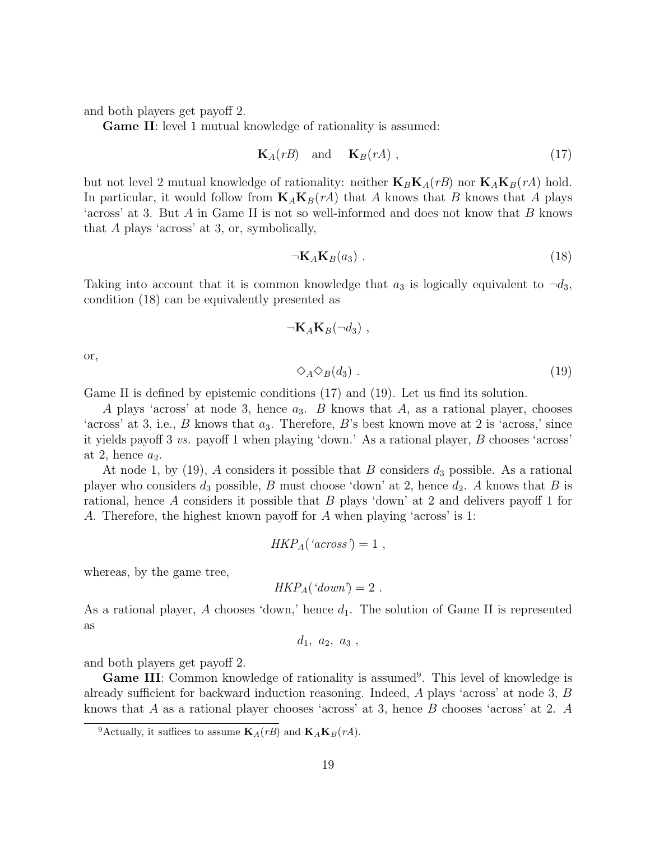and both players get payoff 2.

Game II: level 1 mutual knowledge of rationality is assumed:

$$
\mathbf{K}_A(rB) \quad \text{and} \quad \mathbf{K}_B(rA) \tag{17}
$$

but not level 2 mutual knowledge of rationality: neither  $\mathbf{K}_B \mathbf{K}_A(rB)$  nor  $\mathbf{K}_A \mathbf{K}_B(rA)$  hold. In particular, it would follow from  $K_A K_B(rA)$  that A knows that B knows that A plays 'across' at 3. But A in Game II is not so well-informed and does not know that B knows that A plays 'across' at 3, or, symbolically,

$$
\neg \mathbf{K}_A \mathbf{K}_B(a_3) \tag{18}
$$

Taking into account that it is common knowledge that  $a_3$  is logically equivalent to  $\neg d_3$ , condition (18) can be equivalently presented as

$$
\neg K_A K_B(\neg d_3) ,
$$

or,

 $\Diamond_A \Diamond_B(d_3)$  . (19)

Game II is defined by epistemic conditions (17) and (19). Let us find its solution.

A plays 'across' at node 3, hence  $a_3$ . B knows that A, as a rational player, chooses 'across' at 3, i.e., B knows that  $a_3$ . Therefore, B's best known move at 2 is 'across,' since it yields payoff 3 vs. payoff 1 when playing 'down.' As a rational player, B chooses 'across' at 2, hence  $a_2$ .

At node 1, by  $(19)$ , A considers it possible that B considers  $d_3$  possible. As a rational player who considers  $d_3$  possible, B must choose 'down' at 2, hence  $d_2$ . A knows that B is rational, hence A considers it possible that B plays 'down' at 2 and delivers payoff 1 for A. Therefore, the highest known payoff for A when playing 'across' is 1:

$$
HKP_A("across") = 1,
$$

whereas, by the game tree,

$$
HKP_A('down') = 2.
$$

As a rational player, A chooses 'down,' hence  $d_1$ . The solution of Game II is represented as

 $d_1, a_2, a_3$ ,

and both players get payoff 2.

**Game III:** Common knowledge of rationality is assumed<sup>9</sup>. This level of knowledge is already sufficient for backward induction reasoning. Indeed, A plays 'across' at node 3, B knows that A as a rational player chooses 'across' at 3, hence B chooses 'across' at 2. A

<sup>&</sup>lt;sup>9</sup>Actually, it suffices to assume  $\mathbf{K}_A(rB)$  and  $\mathbf{K}_A\mathbf{K}_B(rA)$ .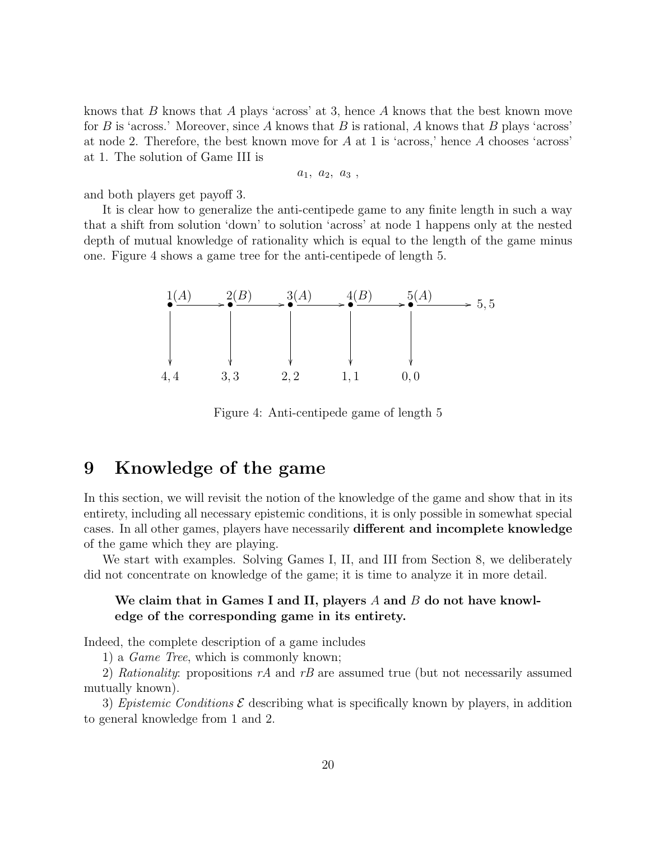knows that B knows that A plays 'across' at 3, hence A knows that the best known move for B is 'across.' Moreover, since A knows that B is rational, A knows that B plays 'across' at node 2. Therefore, the best known move for A at 1 is 'across,' hence A chooses 'across' at 1. The solution of Game III is

 $a_1, a_2, a_3,$ 

and both players get payoff 3.

It is clear how to generalize the anti-centipede game to any finite length in such a way that a shift from solution 'down' to solution 'across' at node 1 happens only at the nested depth of mutual knowledge of rationality which is equal to the length of the game minus one. Figure 4 shows a game tree for the anti-centipede of length 5.



Figure 4: Anti-centipede game of length 5

## 9 Knowledge of the game

In this section, we will revisit the notion of the knowledge of the game and show that in its entirety, including all necessary epistemic conditions, it is only possible in somewhat special cases. In all other games, players have necessarily different and incomplete knowledge of the game which they are playing.

We start with examples. Solving Games I, II, and III from Section 8, we deliberately did not concentrate on knowledge of the game; it is time to analyze it in more detail.

#### We claim that in Games I and II, players  $A$  and  $B$  do not have knowledge of the corresponding game in its entirety.

Indeed, the complete description of a game includes

1) a Game Tree, which is commonly known;

2) Rationality: propositions rA and rB are assumed true (but not necessarily assumed mutually known).

3) Epistemic Conditions  $\mathcal E$  describing what is specifically known by players, in addition to general knowledge from 1 and 2.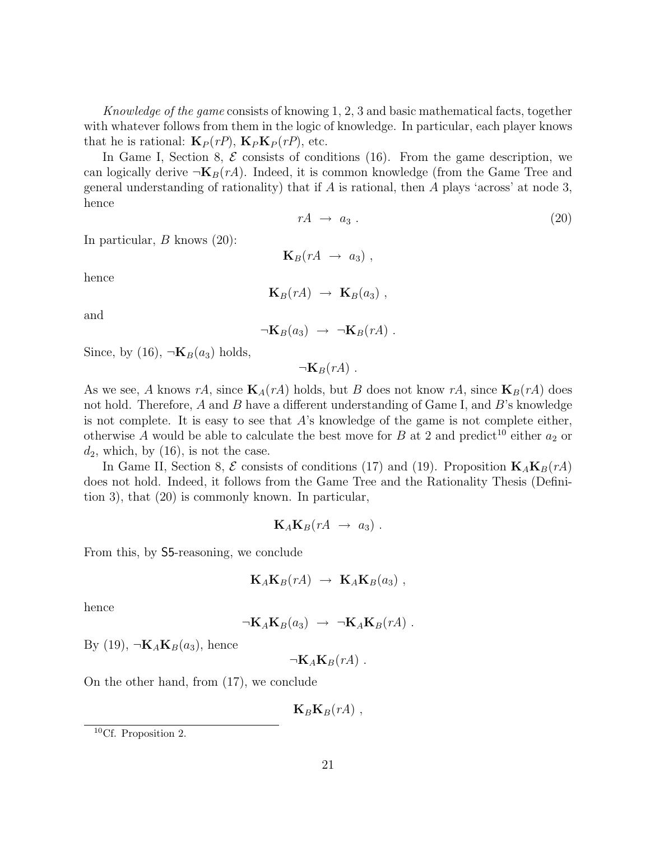Knowledge of the game consists of knowing 1, 2, 3 and basic mathematical facts, together with whatever follows from them in the logic of knowledge. In particular, each player knows that he is rational:  $\mathbf{K}_P(r)$ ,  $\mathbf{K}_P\mathbf{K}_P(r)$ , etc.

In Game I, Section 8,  $\mathcal E$  consists of conditions (16). From the game description, we can logically derive  $\neg K_B(rA)$ . Indeed, it is common knowledge (from the Game Tree and general understanding of rationality) that if A is rational, then A plays 'across' at node 3, hence

$$
rA \rightarrow a_3 \tag{20}
$$

In particular,  $B$  knows  $(20)$ :

hence

$$
\mathbf{K}_B(rA) \rightarrow \mathbf{K}_B(a_3) ,
$$

 $\mathbf{K}_B(rA \rightarrow a_3)$ ,

and

$$
\neg \mathbf{K}_B(a_3) \rightarrow \neg \mathbf{K}_B(rA) .
$$

Since, by (16),  $\neg$ **K**<sub>B</sub>(a<sub>3</sub>) holds,

 $\neg K_B(rA)$ .

As we see, A knows rA, since  $\mathbf{K}_{A}(rA)$  holds, but B does not know rA, since  $\mathbf{K}_{B}(rA)$  does not hold. Therefore,  $A$  and  $B$  have a different understanding of Game I, and  $B$ 's knowledge is not complete. It is easy to see that  $A$ 's knowledge of the game is not complete either, otherwise A would be able to calculate the best move for B at 2 and predict<sup>10</sup> either  $a_2$  or  $d_2$ , which, by  $(16)$ , is not the case.

In Game II, Section 8,  $\mathcal E$  consists of conditions (17) and (19). Proposition  $\mathbf K_A \mathbf K_B(rA)$ does not hold. Indeed, it follows from the Game Tree and the Rationality Thesis (Definition 3), that (20) is commonly known. In particular,

$$
\mathbf{K}_A\mathbf{K}_B(rA \rightarrow a_3) .
$$

From this, by S5-reasoning, we conclude

$$
\mathbf{K}_A \mathbf{K}_B(rA) \rightarrow \mathbf{K}_A \mathbf{K}_B(a_3) ,
$$

hence

$$
\neg K_A K_B(a_3) \rightarrow \neg K_A K_B(rA) .
$$

By (19),  $\neg K_A K_B(a_3)$ , hence

 $\neg K_A K_B(rA)$ .

On the other hand, from (17), we conclude

 $\mathbf{K}_B\mathbf{K}_B(rA)$ ,

<sup>10</sup>Cf. Proposition 2.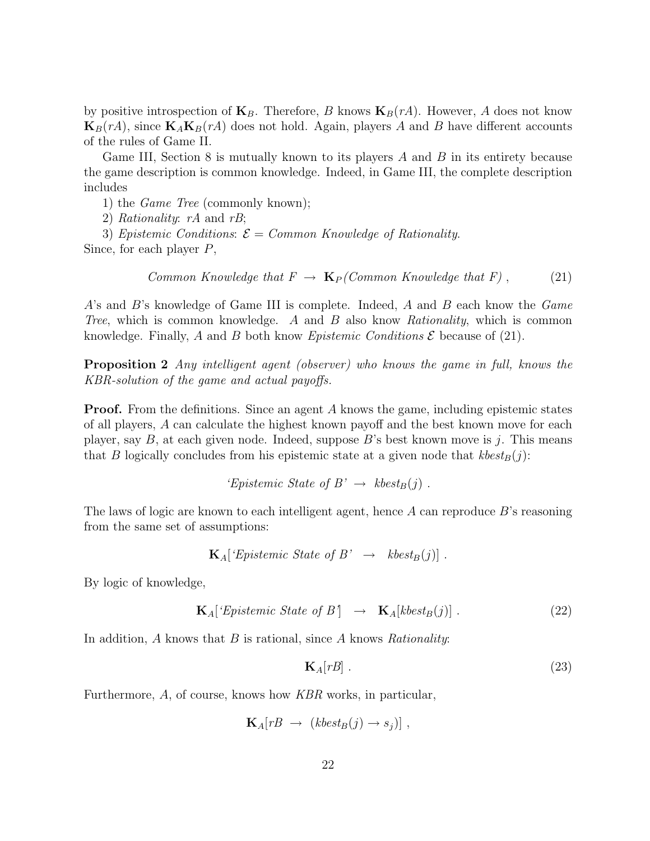by positive introspection of  $\mathbf{K}_B$ . Therefore, B knows  $\mathbf{K}_B(rA)$ . However, A does not know **, since**  $**K**<sub>A</sub>**K**<sub>B</sub>(rA)$  **does not hold. Again, players A and B have different accounts** of the rules of Game II.

Game III, Section 8 is mutually known to its players  $A$  and  $B$  in its entirety because the game description is common knowledge. Indeed, in Game III, the complete description includes

1) the Game Tree (commonly known);

2) Rationality: rA and rB;

3) Epistemic Conditions:  $\mathcal{E} = \mathit{Common}$  Knowledge of Rationality.

Since, for each player P,

Common Knowledge that 
$$
F \to \mathbf{K}_P
$$
 (Common Knowledge that  $F$ ), (21)

A's and B's knowledge of Game III is complete. Indeed, A and B each know the Game Tree, which is common knowledge. A and B also know Rationality, which is common knowledge. Finally, A and B both know Epistemic Conditions  $\mathcal E$  because of (21).

Proposition 2 Any intelligent agent (observer) who knows the game in full, knows the KBR-solution of the game and actual payoffs.

**Proof.** From the definitions. Since an agent A knows the game, including epistemic states of all players, A can calculate the highest known payoff and the best known move for each player, say  $B$ , at each given node. Indeed, suppose  $B$ 's best known move is j. This means that B logically concludes from his epistemic state at a given node that  $kbest_B(j)$ :

$$
Epistemic State of B' \rightarrow kbest_B(j).
$$

The laws of logic are known to each intelligent agent, hence  $A$  can reproduce  $B$ 's reasoning from the same set of assumptions:

$$
\mathbf{K}_{A}[\text{'}Epistemic State of }B' \rightarrow kbest_{B}(j)].
$$

By logic of knowledge,

$$
\mathbf{K}_{A}[\text{'}Epistemic State of B'] \rightarrow \mathbf{K}_{A}[kbest_{B}(j)]. \qquad (22)
$$

In addition,  $A$  knows that  $B$  is rational, since  $A$  knows  $Rationality$ :

$$
\mathbf{K}_A[rB] \tag{23}
$$

Furthermore, A, of course, knows how KBR works, in particular,

$$
\mathbf{K}_A[rB \rightarrow (kbest_B(j) \rightarrow s_j)],
$$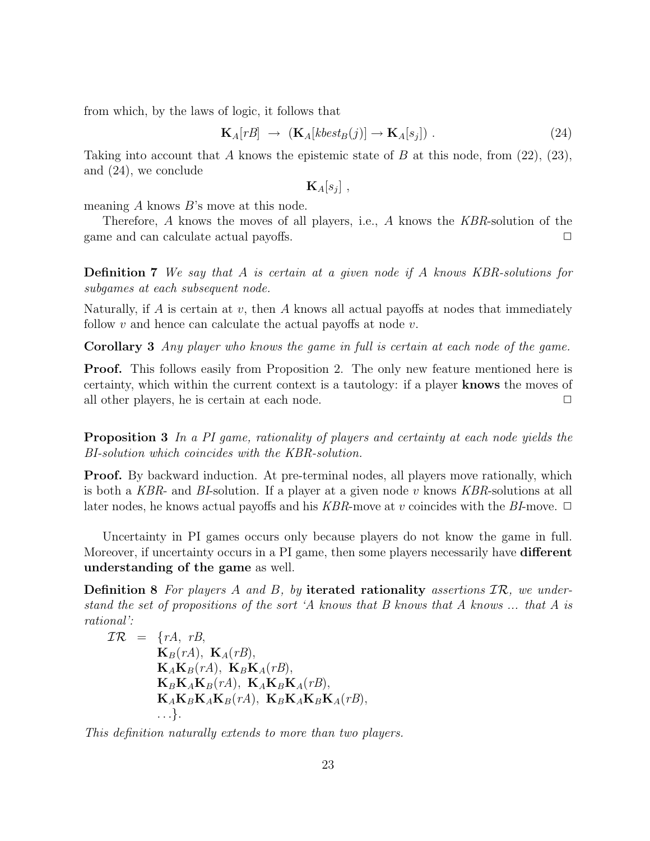from which, by the laws of logic, it follows that

$$
\mathbf{K}_{A}[rB] \rightarrow (\mathbf{K}_{A}[kbest_{B}(j)] \rightarrow \mathbf{K}_{A}[s_{j}]). \tag{24}
$$

Taking into account that A knows the epistemic state of B at this node, from  $(22)$ ,  $(23)$ , and (24), we conclude

 $\mathbf{K}_{A}[s_j]$  ,

meaning  $A$  knows  $B$ 's move at this node.

Therefore, A knows the moves of all players, i.e., A knows the KBR-solution of the game and can calculate actual payoffs.

Definition 7 We say that A is certain at a given node if A knows KBR-solutions for subgames at each subsequent node.

Naturally, if  $\tilde{A}$  is certain at v, then  $\tilde{A}$  knows all actual payoffs at nodes that immediately follow v and hence can calculate the actual payoffs at node  $v$ .

Corollary 3 Any player who knows the game in full is certain at each node of the game.

Proof. This follows easily from Proposition 2. The only new feature mentioned here is certainty, which within the current context is a tautology: if a player knows the moves of all other players, he is certain at each node.  $\Box$ 

**Proposition 3** In a PI game, rationality of players and certainty at each node yields the BI-solution which coincides with the KBR-solution.

**Proof.** By backward induction. At pre-terminal nodes, all players move rationally, which is both a KBR- and BI-solution. If a player at a given node v knows KBR-solutions at all later nodes, he knows actual payoffs and his KBR-move at v coincides with the BI-move.  $\Box$ 

Uncertainty in PI games occurs only because players do not know the game in full. Moreover, if uncertainty occurs in a PI game, then some players necessarily have **different** understanding of the game as well.

**Definition 8** For players A and B, by iterated rationality assertions  $\mathcal{IR}$ , we understand the set of propositions of the sort 'A knows that B knows that A knows ... that A is rational':

$$
\mathcal{IR} = \{rA, rB,
$$
  
\n
$$
\mathbf{K}_{B}(rA), \mathbf{K}_{A}(rB),
$$
  
\n
$$
\mathbf{K}_{A}\mathbf{K}_{B}(rA), \mathbf{K}_{B}\mathbf{K}_{A}(rB),
$$
  
\n
$$
\mathbf{K}_{B}\mathbf{K}_{A}\mathbf{K}_{B}(rA), \mathbf{K}_{A}\mathbf{K}_{B}\mathbf{K}_{A}(rB),
$$
  
\n
$$
\mathbf{K}_{A}\mathbf{K}_{B}\mathbf{K}_{A}\mathbf{K}_{B}(rA), \mathbf{K}_{B}\mathbf{K}_{A}\mathbf{K}_{B}\mathbf{K}_{A}(rB),
$$
  
\n...  
\n
$$
\{rA\mathbf{K}_{B}\mathbf{K}_{A}\mathbf{K}_{B}(rA), \mathbf{K}_{B}\mathbf{K}_{A}\mathbf{K}_{B}\mathbf{K}_{A}(rB),
$$

This definition naturally extends to more than two players.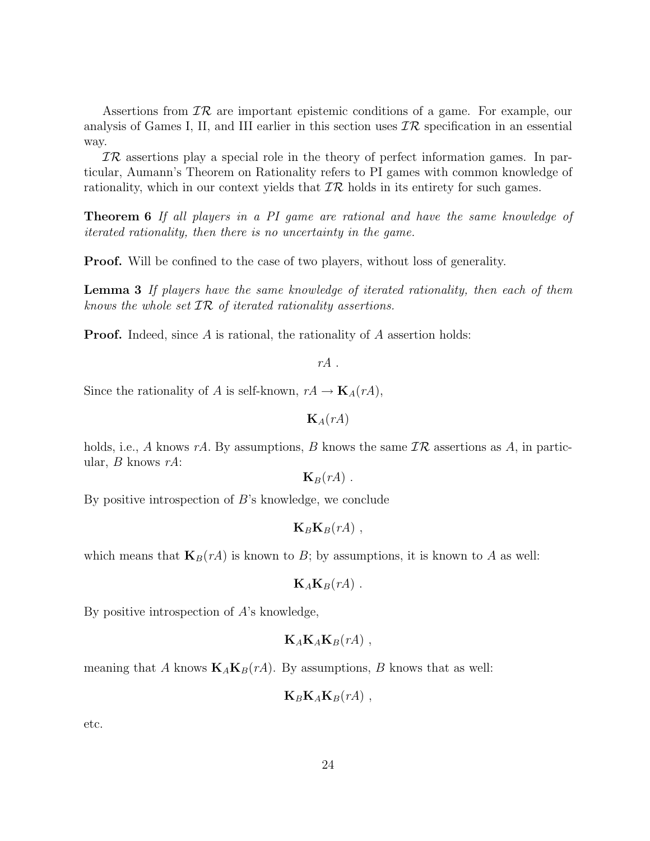Assertions from  $\mathcal{IR}$  are important epistemic conditions of a game. For example, our analysis of Games I, II, and III earlier in this section uses  $\mathcal{IR}$  specification in an essential way.

 $TR$  assertions play a special role in the theory of perfect information games. In particular, Aumann's Theorem on Rationality refers to PI games with common knowledge of rationality, which in our context yields that  $\mathcal{IR}$  holds in its entirety for such games.

Theorem 6 If all players in a PI game are rational and have the same knowledge of iterated rationality, then there is no uncertainty in the game.

Proof. Will be confined to the case of two players, without loss of generality.

Lemma 3 If players have the same knowledge of iterated rationality, then each of them knows the whole set  $TR$  of iterated rationality assertions.

**Proof.** Indeed, since A is rational, the rationality of A assertion holds:

 $rA$ .

Since the rationality of A is self-known,  $rA \to \mathbf{K}_A(rA)$ ,

 $\mathbf{K}_A(rA)$ 

holds, i.e., A knows rA. By assumptions, B knows the same  $\mathcal{IR}$  assertions as A, in particular, B knows  $rA$ :

 $\mathbf{K}_B(rA)$ .

By positive introspection of  $B$ 's knowledge, we conclude

 $\mathbf{K}_B\mathbf{K}_B(rA)$ ,

which means that  $\mathbf{K}_B(rA)$  is known to B; by assumptions, it is known to A as well:

 $\mathbf{K}_A\mathbf{K}_B(rA)$ .

By positive introspection of A's knowledge,

 $\mathbf{K}_A\mathbf{K}_A\mathbf{K}_B(rA)$ ,

meaning that A knows  $\mathbf{K}_A \mathbf{K}_B(rA)$ . By assumptions, B knows that as well:

 $\mathbf{K}_B \mathbf{K}_A \mathbf{K}_B(rA)$ ,

etc.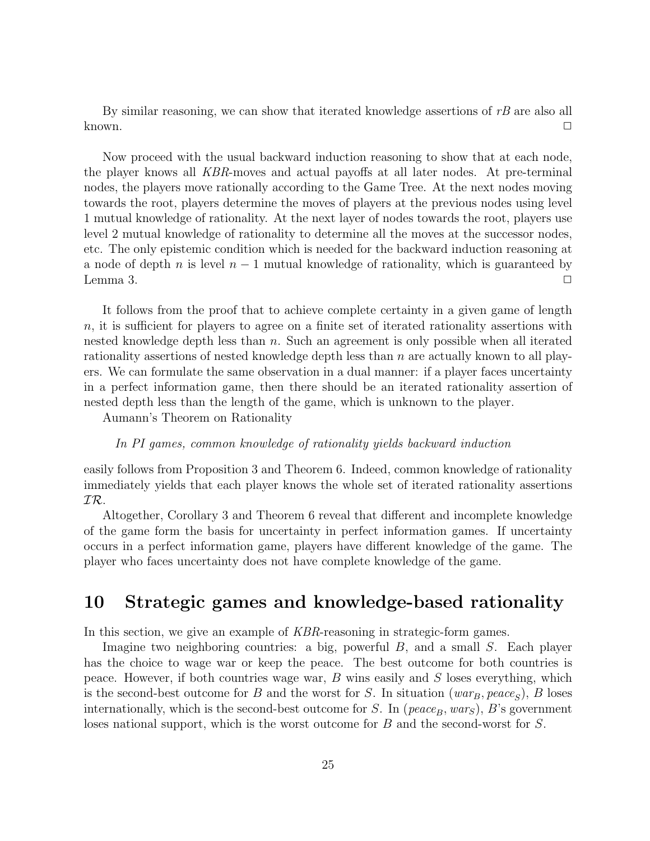By similar reasoning, we can show that iterated knowledge assertions of  $rB$  are also all  $\Box$  known.

Now proceed with the usual backward induction reasoning to show that at each node, the player knows all KBR-moves and actual payoffs at all later nodes. At pre-terminal nodes, the players move rationally according to the Game Tree. At the next nodes moving towards the root, players determine the moves of players at the previous nodes using level 1 mutual knowledge of rationality. At the next layer of nodes towards the root, players use level 2 mutual knowledge of rationality to determine all the moves at the successor nodes, etc. The only epistemic condition which is needed for the backward induction reasoning at a node of depth n is level  $n-1$  mutual knowledge of rationality, which is guaranteed by Lemma 3.  $\Box$ 

It follows from the proof that to achieve complete certainty in a given game of length  $n$ , it is sufficient for players to agree on a finite set of iterated rationality assertions with nested knowledge depth less than  $n$ . Such an agreement is only possible when all iterated rationality assertions of nested knowledge depth less than  $n$  are actually known to all players. We can formulate the same observation in a dual manner: if a player faces uncertainty in a perfect information game, then there should be an iterated rationality assertion of nested depth less than the length of the game, which is unknown to the player.

Aumann's Theorem on Rationality

#### In PI games, common knowledge of rationality yields backward induction

easily follows from Proposition 3 and Theorem 6. Indeed, common knowledge of rationality immediately yields that each player knows the whole set of iterated rationality assertions IR.

Altogether, Corollary 3 and Theorem 6 reveal that different and incomplete knowledge of the game form the basis for uncertainty in perfect information games. If uncertainty occurs in a perfect information game, players have different knowledge of the game. The player who faces uncertainty does not have complete knowledge of the game.

## 10 Strategic games and knowledge-based rationality

In this section, we give an example of KBR-reasoning in strategic-form games.

Imagine two neighboring countries: a big, powerful B, and a small S. Each player has the choice to wage war or keep the peace. The best outcome for both countries is peace. However, if both countries wage war,  $B$  wins easily and  $S$  loses everything, which is the second-best outcome for B and the worst for S. In situation  $(war_B, peace_S)$ , B loses internationally, which is the second-best outcome for S. In ( $peace_B, war_S$ ), B's government loses national support, which is the worst outcome for B and the second-worst for S.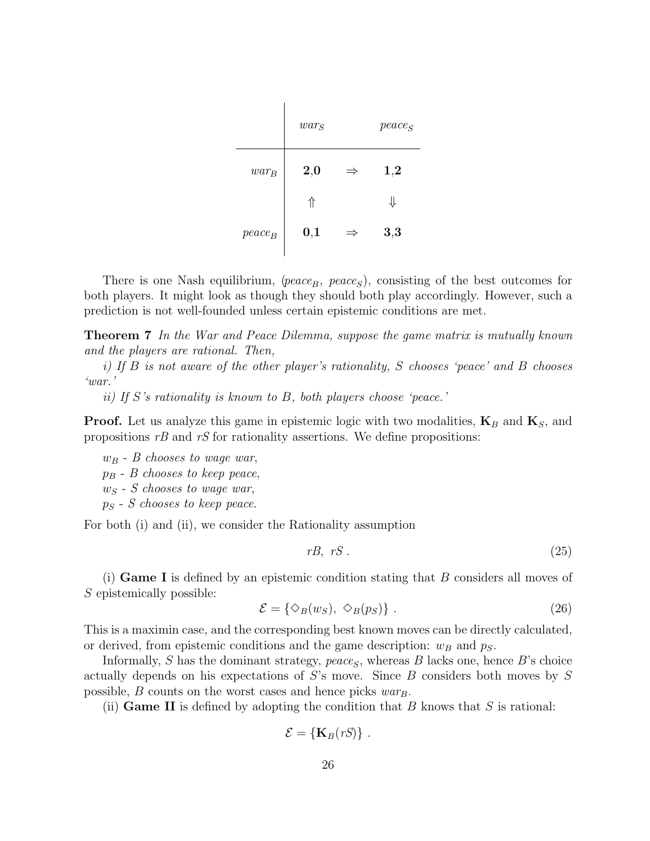|           | $war_S$ |               | $peace_S$    |
|-----------|---------|---------------|--------------|
| $war_B$   | 2,0     | $\Rightarrow$ | $_{\bf 1,2}$ |
|           | ⇑       |               | ⇓            |
| $peace_B$ | 0,1     | $\Rightarrow$ | 3,3          |

There is one Nash equilibrium, ( $peace_B$ ,  $peace_S$ ), consisting of the best outcomes for both players. It might look as though they should both play accordingly. However, such a prediction is not well-founded unless certain epistemic conditions are met.

Theorem 7 In the War and Peace Dilemma, suppose the game matrix is mutually known and the players are rational. Then,

i) If B is not aware of the other player's rationality, S chooses 'peace' and B chooses 'war.'

ii) If S's rationality is known to B, both players choose 'peace.'

**Proof.** Let us analyze this game in epistemic logic with two modalities,  $\mathbf{K}_B$  and  $\mathbf{K}_S$ , and propositions  $rB$  and  $rS$  for rationality assertions. We define propositions:

 $w_B$  - B chooses to wage war,  $p_B$  - B chooses to keep peace,  $w_S$  - S chooses to wage war,  $p_S$  - S chooses to keep peace.

For both (i) and (ii), we consider the Rationality assumption

$$
rB, rS. \tag{25}
$$

(i) **Game I** is defined by an epistemic condition stating that  $B$  considers all moves of S epistemically possible:

$$
\mathcal{E} = \{ \diamond_B(w_S), \diamond_B(p_S) \} . \tag{26}
$$

This is a maximin case, and the corresponding best known moves can be directly calculated, or derived, from epistemic conditions and the game description:  $w_B$  and  $p_S$ .

Informally, S has the dominant strategy,  $peace_S$ , whereas B lacks one, hence B's choice actually depends on his expectations of S's move. Since B considers both moves by S possible,  $B$  counts on the worst cases and hence picks  $war_B$ .

(ii) **Game II** is defined by adopting the condition that B knows that S is rational:

$$
\mathcal{E} = \{ \mathbf{K}_B(rS) \} .
$$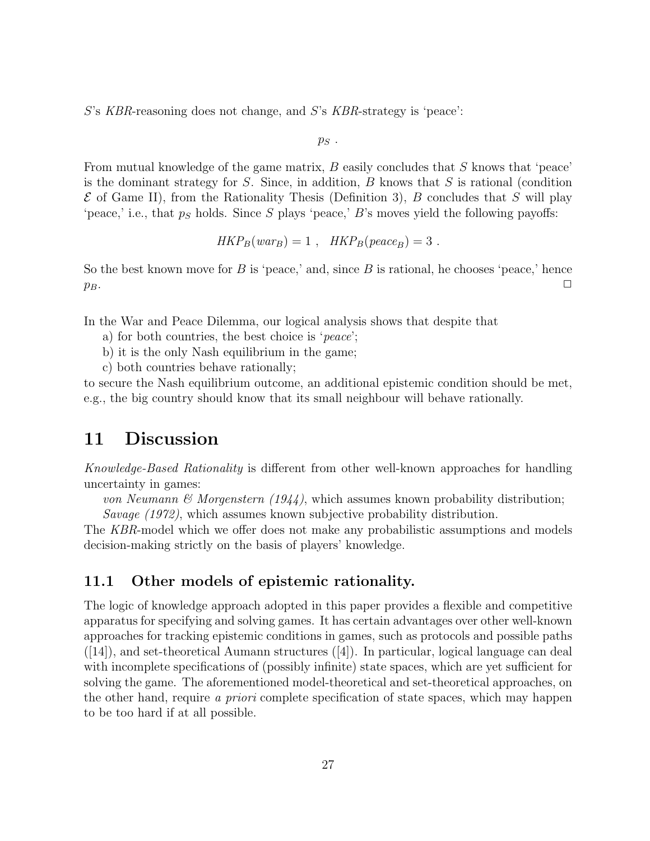S's KBR-reasoning does not change, and S's KBR-strategy is 'peace':

 $p_S$ .

From mutual knowledge of the game matrix,  $B$  easily concludes that  $S$  knows that 'peace' is the dominant strategy for  $S$ . Since, in addition,  $B$  knows that  $S$  is rational (condition  $\mathcal E$  of Game II), from the Rationality Thesis (Definition 3), B concludes that S will play 'peace,' i.e., that  $p<sub>S</sub>$  holds. Since S plays 'peace,' B's moves yield the following payoffs:

$$
HKP_B(war_B) = 1 , \quad HKP_B(peace_B) = 3 .
$$

So the best known move for B is 'peace,' and, since B is rational, he chooses 'peace,' hence  $p_B$ .

In the War and Peace Dilemma, our logical analysis shows that despite that

- a) for both countries, the best choice is 'peace';
- b) it is the only Nash equilibrium in the game;
- c) both countries behave rationally;

to secure the Nash equilibrium outcome, an additional epistemic condition should be met, e.g., the big country should know that its small neighbour will behave rationally.

### 11 Discussion

Knowledge-Based Rationality is different from other well-known approaches for handling uncertainty in games:

von Neumann & Morgenstern  $(1944)$ , which assumes known probability distribution; Savage (1972), which assumes known subjective probability distribution.

The KBR-model which we offer does not make any probabilistic assumptions and models decision-making strictly on the basis of players' knowledge.

#### 11.1 Other models of epistemic rationality.

The logic of knowledge approach adopted in this paper provides a flexible and competitive apparatus for specifying and solving games. It has certain advantages over other well-known approaches for tracking epistemic conditions in games, such as protocols and possible paths  $([14])$ , and set-theoretical Aumann structures  $([4])$ . In particular, logical language can deal with incomplete specifications of (possibly infinite) state spaces, which are yet sufficient for solving the game. The aforementioned model-theoretical and set-theoretical approaches, on the other hand, require a priori complete specification of state spaces, which may happen to be too hard if at all possible.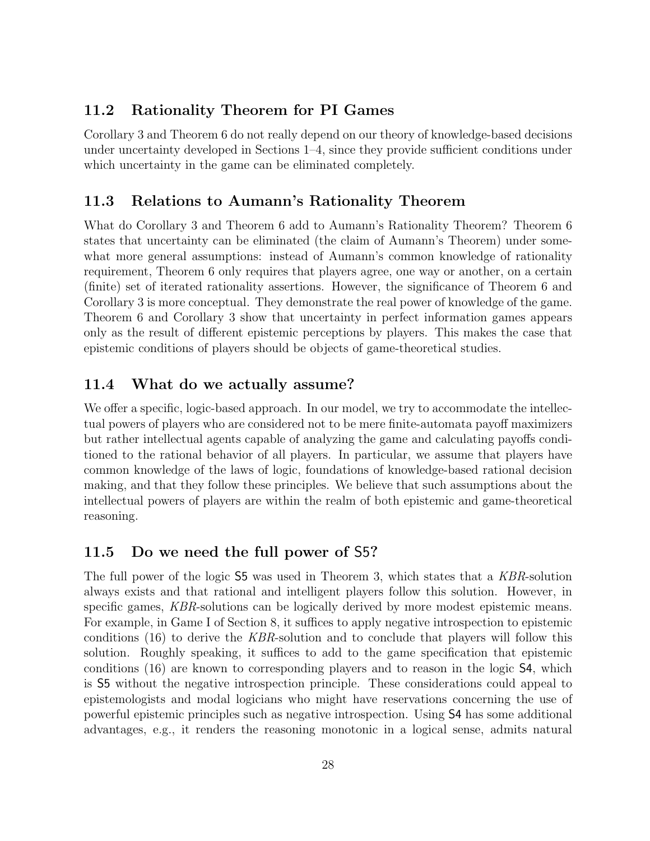### 11.2 Rationality Theorem for PI Games

Corollary 3 and Theorem 6 do not really depend on our theory of knowledge-based decisions under uncertainty developed in Sections 1–4, since they provide sufficient conditions under which uncertainty in the game can be eliminated completely.

### 11.3 Relations to Aumann's Rationality Theorem

What do Corollary 3 and Theorem 6 add to Aumann's Rationality Theorem? Theorem 6 states that uncertainty can be eliminated (the claim of Aumann's Theorem) under somewhat more general assumptions: instead of Aumann's common knowledge of rationality requirement, Theorem 6 only requires that players agree, one way or another, on a certain (finite) set of iterated rationality assertions. However, the significance of Theorem 6 and Corollary 3 is more conceptual. They demonstrate the real power of knowledge of the game. Theorem 6 and Corollary 3 show that uncertainty in perfect information games appears only as the result of different epistemic perceptions by players. This makes the case that epistemic conditions of players should be objects of game-theoretical studies.

### 11.4 What do we actually assume?

We offer a specific, logic-based approach. In our model, we try to accommodate the intellectual powers of players who are considered not to be mere finite-automata payoff maximizers but rather intellectual agents capable of analyzing the game and calculating payoffs conditioned to the rational behavior of all players. In particular, we assume that players have common knowledge of the laws of logic, foundations of knowledge-based rational decision making, and that they follow these principles. We believe that such assumptions about the intellectual powers of players are within the realm of both epistemic and game-theoretical reasoning.

#### 11.5 Do we need the full power of S5?

The full power of the logic S5 was used in Theorem 3, which states that a KBR-solution always exists and that rational and intelligent players follow this solution. However, in specific games, KBR-solutions can be logically derived by more modest epistemic means. For example, in Game I of Section 8, it suffices to apply negative introspection to epistemic conditions (16) to derive the KBR-solution and to conclude that players will follow this solution. Roughly speaking, it suffices to add to the game specification that epistemic conditions (16) are known to corresponding players and to reason in the logic S4, which is S5 without the negative introspection principle. These considerations could appeal to epistemologists and modal logicians who might have reservations concerning the use of powerful epistemic principles such as negative introspection. Using S4 has some additional advantages, e.g., it renders the reasoning monotonic in a logical sense, admits natural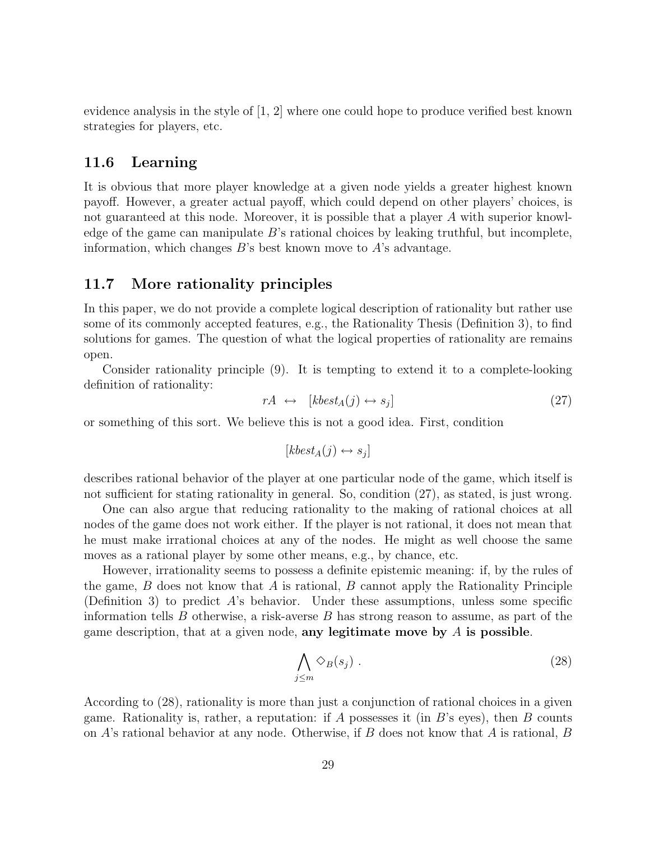evidence analysis in the style of [1, 2] where one could hope to produce verified best known strategies for players, etc.

#### 11.6 Learning

It is obvious that more player knowledge at a given node yields a greater highest known payoff. However, a greater actual payoff, which could depend on other players' choices, is not guaranteed at this node. Moreover, it is possible that a player A with superior knowledge of the game can manipulate B's rational choices by leaking truthful, but incomplete, information, which changes  $B$ 's best known move to  $A$ 's advantage.

#### 11.7 More rationality principles

In this paper, we do not provide a complete logical description of rationality but rather use some of its commonly accepted features, e.g., the Rationality Thesis (Definition 3), to find solutions for games. The question of what the logical properties of rationality are remains open.

Consider rationality principle (9). It is tempting to extend it to a complete-looking definition of rationality:

$$
rA \leftrightarrow [kbest_A(j) \leftrightarrow s_j]
$$
 (27)

or something of this sort. We believe this is not a good idea. First, condition

$$
[kbest_A(j) \leftrightarrow s_j]
$$

describes rational behavior of the player at one particular node of the game, which itself is not sufficient for stating rationality in general. So, condition (27), as stated, is just wrong.

One can also argue that reducing rationality to the making of rational choices at all nodes of the game does not work either. If the player is not rational, it does not mean that he must make irrational choices at any of the nodes. He might as well choose the same moves as a rational player by some other means, e.g., by chance, etc.

However, irrationality seems to possess a definite epistemic meaning: if, by the rules of the game,  $B$  does not know that  $A$  is rational,  $B$  cannot apply the Rationality Principle (Definition 3) to predict A's behavior. Under these assumptions, unless some specific information tells  $B$  otherwise, a risk-averse  $B$  has strong reason to assume, as part of the game description, that at a given node, any legitimate move by  $A$  is possible.

$$
\bigwedge_{j\leq m}\diamondsuit_B(s_j)\ .\tag{28}
$$

According to (28), rationality is more than just a conjunction of rational choices in a given game. Rationality is, rather, a reputation: if A possesses it (in  $B$ 's eyes), then  $B$  counts on  $A$ 's rational behavior at any node. Otherwise, if  $B$  does not know that  $A$  is rational,  $B$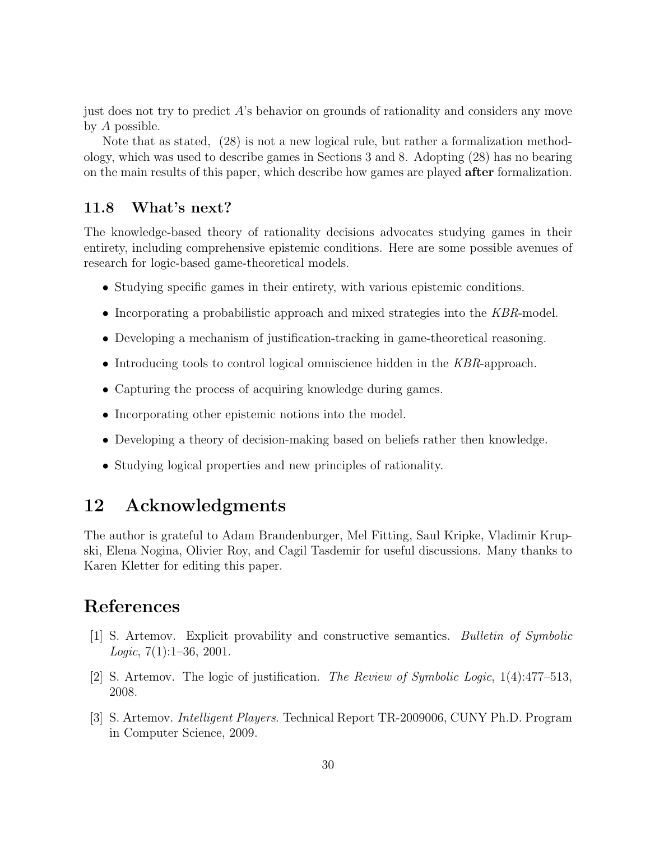just does not try to predict  $\hat{A}$ 's behavior on grounds of rationality and considers any move by A possible.

Note that as stated, (28) is not a new logical rule, but rather a formalization methodology, which was used to describe games in Sections 3 and 8. Adopting (28) has no bearing on the main results of this paper, which describe how games are played after formalization.

#### 11.8 What's next?

The knowledge-based theory of rationality decisions advocates studying games in their entirety, including comprehensive epistemic conditions. Here are some possible avenues of research for logic-based game-theoretical models.

- Studying specific games in their entirety, with various epistemic conditions.
- Incorporating a probabilistic approach and mixed strategies into the KBR-model.
- Developing a mechanism of justification-tracking in game-theoretical reasoning.
- Introducing tools to control logical omniscience hidden in the KBR-approach.
- Capturing the process of acquiring knowledge during games.
- Incorporating other epistemic notions into the model.
- Developing a theory of decision-making based on beliefs rather then knowledge.
- Studying logical properties and new principles of rationality.

## 12 Acknowledgments

The author is grateful to Adam Brandenburger, Mel Fitting, Saul Kripke, Vladimir Krupski, Elena Nogina, Olivier Roy, and Cagil Tasdemir for useful discussions. Many thanks to Karen Kletter for editing this paper.

## References

- [1] S. Artemov. Explicit provability and constructive semantics. Bulletin of Symbolic *Logic*,  $7(1):1-36$ , 2001.
- [2] S. Artemov. The logic of justification. The Review of Symbolic Logic, 1(4):477–513, 2008.
- [3] S. Artemov. Intelligent Players. Technical Report TR-2009006, CUNY Ph.D. Program in Computer Science, 2009.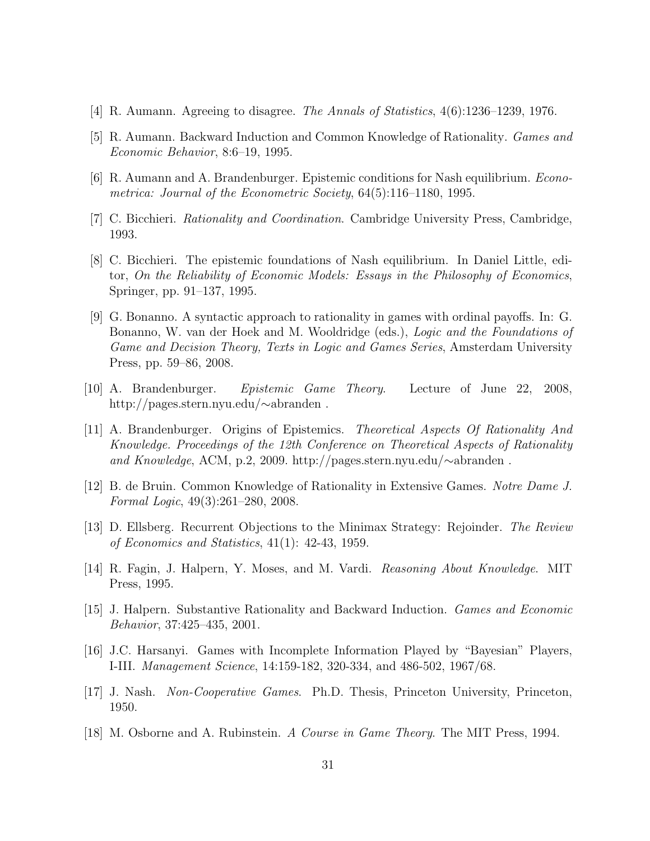- [4] R. Aumann. Agreeing to disagree. The Annals of Statistics, 4(6):1236–1239, 1976.
- [5] R. Aumann. Backward Induction and Common Knowledge of Rationality. Games and Economic Behavior, 8:6–19, 1995.
- [6] R. Aumann and A. Brandenburger. Epistemic conditions for Nash equilibrium. Econometrica: Journal of the Econometric Society, 64(5):116–1180, 1995.
- [7] C. Bicchieri. Rationality and Coordination. Cambridge University Press, Cambridge, 1993.
- [8] C. Bicchieri. The epistemic foundations of Nash equilibrium. In Daniel Little, editor, On the Reliability of Economic Models: Essays in the Philosophy of Economics, Springer, pp. 91–137, 1995.
- [9] G. Bonanno. A syntactic approach to rationality in games with ordinal payoffs. In: G. Bonanno, W. van der Hoek and M. Wooldridge (eds.), Logic and the Foundations of Game and Decision Theory, Texts in Logic and Games Series, Amsterdam University Press, pp. 59–86, 2008.
- [10] A. Brandenburger. Epistemic Game Theory. Lecture of June 22, 2008, http://pages.stern.nyu.edu/∼abranden .
- [11] A. Brandenburger. Origins of Epistemics. Theoretical Aspects Of Rationality And Knowledge. Proceedings of the 12th Conference on Theoretical Aspects of Rationality and Knowledge, ACM, p.2, 2009. http://pages.stern.nyu.edu/∼abranden .
- [12] B. de Bruin. Common Knowledge of Rationality in Extensive Games. Notre Dame J. Formal Logic, 49(3):261–280, 2008.
- [13] D. Ellsberg. Recurrent Objections to the Minimax Strategy: Rejoinder. The Review of Economics and Statistics, 41(1): 42-43, 1959.
- [14] R. Fagin, J. Halpern, Y. Moses, and M. Vardi. Reasoning About Knowledge. MIT Press, 1995.
- [15] J. Halpern. Substantive Rationality and Backward Induction. Games and Economic Behavior, 37:425–435, 2001.
- [16] J.C. Harsanyi. Games with Incomplete Information Played by "Bayesian" Players, I-III. Management Science, 14:159-182, 320-334, and 486-502, 1967/68.
- [17] J. Nash. Non-Cooperative Games. Ph.D. Thesis, Princeton University, Princeton, 1950.
- [18] M. Osborne and A. Rubinstein. A Course in Game Theory. The MIT Press, 1994.